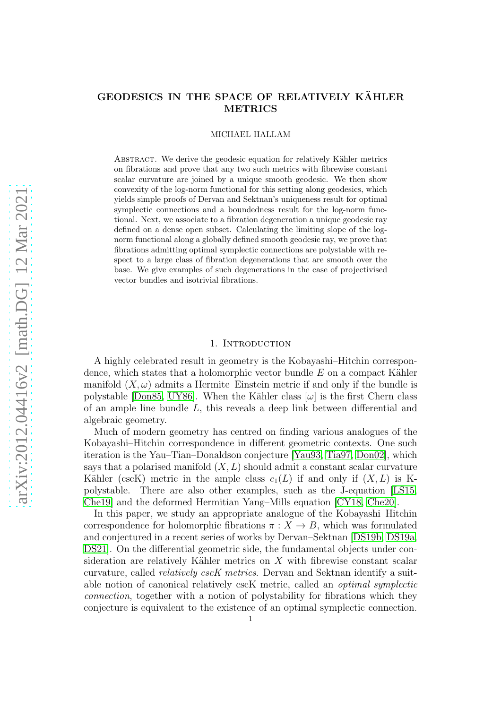## GEODESICS IN THE SPACE OF RELATIVELY KÄHLER METRICS

#### MICHAEL HALLAM

ABSTRACT. We derive the geodesic equation for relatively Kähler metrics on fibrations and prove that any two such metrics with fibrewise constant scalar curvature are joined by a unique smooth geodesic. We then show convexity of the log-norm functional for this setting along geodesics, which yields simple proofs of Dervan and Sektnan's uniqueness result for optimal symplectic connections and a boundedness result for the log-norm functional. Next, we associate to a fibration degeneration a unique geodesic ray defined on a dense open subset. Calculating the limiting slope of the lognorm functional along a globally defined smooth geodesic ray, we prove that fibrations admitting optimal symplectic connections are polystable with respect to a large class of fibration degenerations that are smooth over the base. We give examples of such degenerations in the case of projectivised vector bundles and isotrivial fibrations.

### 1. INTRODUCTION

<span id="page-0-0"></span>A highly celebrated result in geometry is the Kobayashi–Hitchin correspondence, which states that a holomorphic vector bundle  $E$  on a compact Kähler manifold  $(X, \omega)$  admits a Hermite–Einstein metric if and only if the bundle is polystable [\[Don85,](#page-37-0) [UY86\]](#page-39-0). When the Kähler class  $[\omega]$  is the first Chern class of an ample line bundle L, this reveals a deep link between differential and algebraic geometry.

Much of modern geometry has centred on finding various analogues of the Kobayashi–Hitchin correspondence in different geometric contexts. One such iteration is the Yau–Tian–Donaldson conjecture [\[Yau93,](#page-39-1) [Tia97,](#page-39-2) [Don02\]](#page-37-1), which says that a polarised manifold  $(X, L)$  should admit a constant scalar curvature Kähler (cscK) metric in the ample class  $c_1(L)$  if and only if  $(X, L)$  is Kpolystable. There are also other examples, such as the J-equation [\[LS15,](#page-38-0) [Che19\]](#page-37-2) and the deformed Hermitian Yang–Mills equation [\[CY18,](#page-37-3) [Che20\]](#page-37-4).

In this paper, we study an appropriate analogue of the Kobayashi–Hitchin correspondence for holomorphic fibrations  $\pi : X \to B$ , which was formulated and conjectured in a recent series of works by Dervan–Sektnan [\[DS19b,](#page-38-1) [DS19a,](#page-38-2) [DS21\]](#page-38-3). On the differential geometric side, the fundamental objects under consideration are relatively Kähler metrics on  $X$  with fibrewise constant scalar curvature, called *relatively cscK metrics*. Dervan and Sektnan identify a suitable notion of canonical relatively cscK metric, called an optimal symplectic connection, together with a notion of polystability for fibrations which they conjecture is equivalent to the existence of an optimal symplectic connection.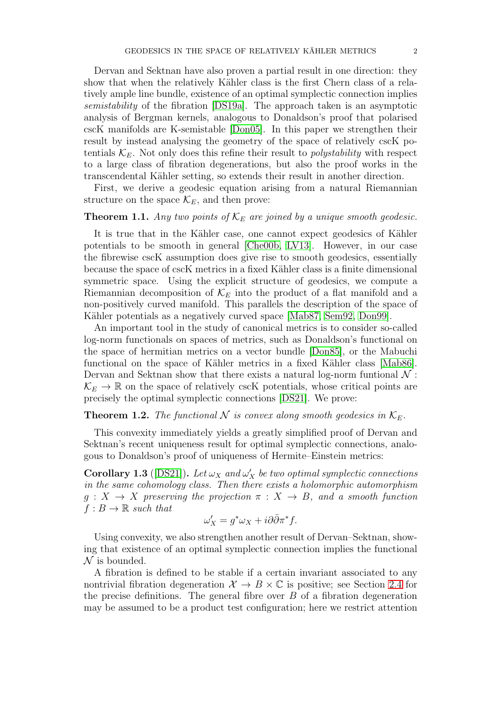Dervan and Sektnan have also proven a partial result in one direction: they show that when the relatively Kähler class is the first Chern class of a relatively ample line bundle, existence of an optimal symplectic connection implies semistability of the fibration [\[DS19a\]](#page-38-2). The approach taken is an asymptotic analysis of Bergman kernels, analogous to Donaldson's proof that polarised cscK manifolds are K-semistable [\[Don05\]](#page-37-5). In this paper we strengthen their result by instead analysing the geometry of the space of relatively cscK potentials  $\mathcal{K}_E$ . Not only does this refine their result to *polystability* with respect to a large class of fibration degenerations, but also the proof works in the transcendental K¨ahler setting, so extends their result in another direction.

First, we derive a geodesic equation arising from a natural Riemannian structure on the space  $\mathcal{K}_E$ , and then prove:

## <span id="page-1-1"></span>**Theorem 1.1.** Any two points of  $\mathcal{K}_E$  are joined by a unique smooth geodesic.

It is true that in the Kähler case, one cannot expect geodesics of Kähler potentials to be smooth in general [\[Che00b,](#page-37-6) [LV13\]](#page-38-4). However, in our case the fibrewise cscK assumption does give rise to smooth geodesics, essentially because the space of cscK metrics in a fixed Kähler class is a finite dimensional symmetric space. Using the explicit structure of geodesics, we compute a Riemannian decomposition of  $\mathcal{K}_E$  into the product of a flat manifold and a non-positively curved manifold. This parallels the description of the space of Kähler potentials as a negatively curved space [\[Mab87,](#page-38-5) [Sem92,](#page-38-6) [Don99\]](#page-37-7).

An important tool in the study of canonical metrics is to consider so-called log-norm functionals on spaces of metrics, such as Donaldson's functional on the space of hermitian metrics on a vector bundle [\[Don85\]](#page-37-0), or the Mabuchi functional on the space of Kähler metrics in a fixed Kähler class [\[Mab86\]](#page-38-7). Dervan and Sektnan show that there exists a natural log-norm funtional  $\mathcal N$ :  $\mathcal{K}_E \to \mathbb{R}$  on the space of relatively cscK potentials, whose critical points are precisely the optimal symplectic connections [\[DS21\]](#page-38-3). We prove:

# **Theorem 1.2.** The functional  $N$  is convex along smooth geodesics in  $K_E$ .

This convexity immediately yields a greatly simplified proof of Dervan and Sektnan's recent uniqueness result for optimal symplectic connections, analogous to Donaldson's proof of uniqueness of Hermite–Einstein metrics:

<span id="page-1-0"></span>**Corollary 1.3** ([\[DS21\]](#page-38-3)). Let  $\omega_X$  and  $\omega'_X$  be two optimal symplectic connections in the same cohomology class. Then there exists a holomorphic automorphism  $g: X \to X$  preserving the projection  $\pi: X \to B$ , and a smooth function  $f : B \to \mathbb{R}$  such that

$$
\omega'_X = g^*\omega_X + i\partial\bar{\partial}\pi^* f.
$$

Using convexity, we also strengthen another result of Dervan–Sektnan, showing that existence of an optimal symplectic connection implies the functional  $\mathcal N$  is bounded.

A fibration is defined to be stable if a certain invariant associated to any nontrivial fibration degeneration  $\mathcal{X} \to B \times \mathbb{C}$  is positive; see Section [2.4](#page-11-0) for the precise definitions. The general fibre over  $B$  of a fibration degeneration may be assumed to be a product test configuration; here we restrict attention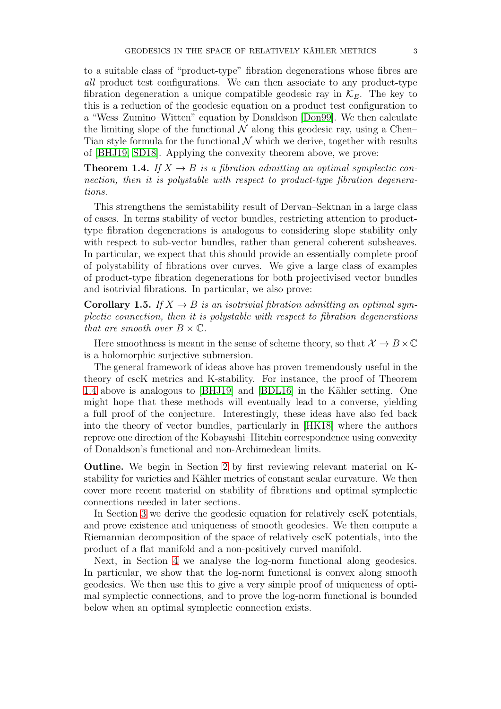to a suitable class of "product-type" fibration degenerations whose fibres are all product test configurations. We can then associate to any product-type fibration degeneration a unique compatible geodesic ray in  $\mathcal{K}_E$ . The key to this is a reduction of the geodesic equation on a product test configuration to a "Wess–Zumino–Witten" equation by Donaldson [\[Don99\]](#page-37-7). We then calculate the limiting slope of the functional  $\mathcal N$  along this geodesic ray, using a Chen– Tian style formula for the functional  $\mathcal N$  which we derive, together with results of [\[BHJ19,](#page-37-8) [SD18\]](#page-38-8). Applying the convexity theorem above, we prove:

<span id="page-2-0"></span>**Theorem 1.4.** If  $X \to B$  is a fibration admitting an optimal symplectic connection, then it is polystable with respect to product-type fibration degenerations.

This strengthens the semistability result of Dervan–Sektnan in a large class of cases. In terms stability of vector bundles, restricting attention to producttype fibration degenerations is analogous to considering slope stability only with respect to sub-vector bundles, rather than general coherent subsheaves. In particular, we expect that this should provide an essentially complete proof of polystability of fibrations over curves. We give a large class of examples of product-type fibration degenerations for both projectivised vector bundles and isotrivial fibrations. In particular, we also prove:

<span id="page-2-1"></span>**Corollary 1.5.** If  $X \to B$  is an isotrivial fibration admitting an optimal symplectic connection, then it is polystable with respect to fibration degenerations that are smooth over  $B \times \mathbb{C}$ .

Here smoothness is meant in the sense of scheme theory, so that  $\mathcal{X} \to B \times \mathbb{C}$ is a holomorphic surjective submersion.

The general framework of ideas above has proven tremendously useful in the theory of cscK metrics and K-stability. For instance, the proof of Theorem [1.4](#page-2-0) above is analogous to [\[BHJ19\]](#page-37-8) and [\[BDL16\]](#page-37-9) in the Kähler setting. One might hope that these methods will eventually lead to a converse, yielding a full proof of the conjecture. Interestingly, these ideas have also fed back into the theory of vector bundles, particularly in [\[HK18\]](#page-38-9) where the authors reprove one direction of the Kobayashi–Hitchin correspondence using convexity of Donaldson's functional and non-Archimedean limits.

Outline. We begin in Section [2](#page-3-0) by first reviewing relevant material on Kstability for varieties and Kähler metrics of constant scalar curvature. We then cover more recent material on stability of fibrations and optimal symplectic connections needed in later sections.

In Section [3](#page-14-0) we derive the geodesic equation for relatively cscK potentials, and prove existence and uniqueness of smooth geodesics. We then compute a Riemannian decomposition of the space of relatively cscK potentials, into the product of a flat manifold and a non-positively curved manifold.

Next, in Section [4](#page-20-0) we analyse the log-norm functional along geodesics. In particular, we show that the log-norm functional is convex along smooth geodesics. We then use this to give a very simple proof of uniqueness of optimal symplectic connections, and to prove the log-norm functional is bounded below when an optimal symplectic connection exists.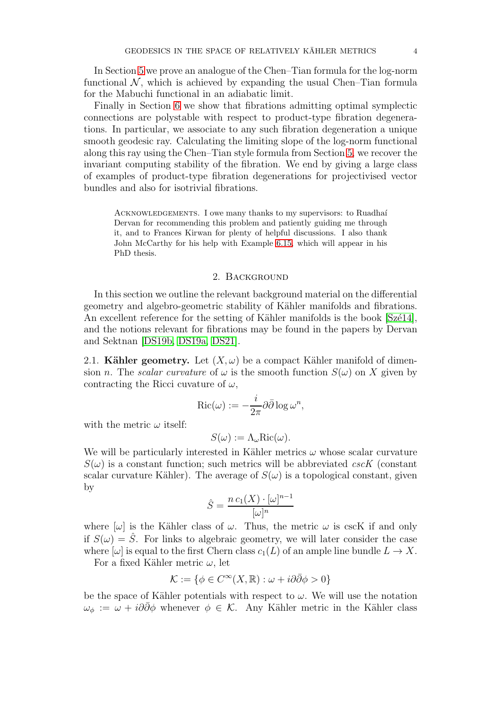In Section [5](#page-22-0) we prove an analogue of the Chen–Tian formula for the log-norm functional  $\mathcal N$ , which is achieved by expanding the usual Chen–Tian formula for the Mabuchi functional in an adiabatic limit.

Finally in Section [6](#page-27-0) we show that fibrations admitting optimal symplectic connections are polystable with respect to product-type fibration degenerations. In particular, we associate to any such fibration degeneration a unique smooth geodesic ray. Calculating the limiting slope of the log-norm functional along this ray using the Chen–Tian style formula from Section [5,](#page-22-0) we recover the invariant computing stability of the fibration. We end by giving a large class of examples of product-type fibration degenerations for projectivised vector bundles and also for isotrivial fibrations.

ACKNOWLEDGEMENTS. I owe many thanks to my supervisors: to Ruadhaí Dervan for recommending this problem and patiently guiding me through it, and to Frances Kirwan for plenty of helpful discussions. I also thank John McCarthy for his help with Example [6.15,](#page-35-0) which will appear in his PhD thesis.

#### 2. BACKGROUND

<span id="page-3-0"></span>In this section we outline the relevant background material on the differential geometry and algebro-geometric stability of Kähler manifolds and fibrations. An excellent reference for the setting of Kähler manifolds is the book  $[Sz\acute{e}14]$ , and the notions relevant for fibrations may be found in the papers by Dervan and Sektnan [\[DS19b,](#page-38-1) [DS19a,](#page-38-2) [DS21\]](#page-38-3).

<span id="page-3-1"></span>2.1. Kähler geometry. Let  $(X, \omega)$  be a compact Kähler manifold of dimension n. The scalar curvature of  $\omega$  is the smooth function  $S(\omega)$  on X given by contracting the Ricci cuvature of  $\omega$ ,

$$
\operatorname{Ric}(\omega) := -\frac{i}{2\pi} \partial \bar{\partial} \log \omega^n,
$$

with the metric  $\omega$  itself:

$$
S(\omega) := \Lambda_{\omega} \text{Ric}(\omega).
$$

We will be particularly interested in Kähler metrics  $\omega$  whose scalar curvature  $S(\omega)$  is a constant function; such metrics will be abbreviated cscK (constant scalar curvature Kähler). The average of  $S(\omega)$  is a topological constant, given by

$$
\hat{S} = \frac{n c_1(X) \cdot [\omega]^{n-1}}{[\omega]^n}
$$

where  $[\omega]$  is the Kähler class of  $\omega$ . Thus, the metric  $\omega$  is cscK if and only if  $S(\omega) = \hat{S}$ . For links to algebraic geometry, we will later consider the case where  $[\omega]$  is equal to the first Chern class  $c_1(L)$  of an ample line bundle  $L \to X$ .

For a fixed Kähler metric  $\omega$ , let

$$
\mathcal{K} := \{ \phi \in C^{\infty}(X, \mathbb{R}) : \omega + i\partial \bar{\partial} \phi > 0 \}
$$

be the space of Kähler potentials with respect to  $\omega$ . We will use the notation  $\omega_{\phi} := \omega + i\partial\bar{\partial}\phi$  whenever  $\phi \in \mathcal{K}$ . Any Kähler metric in the Kähler class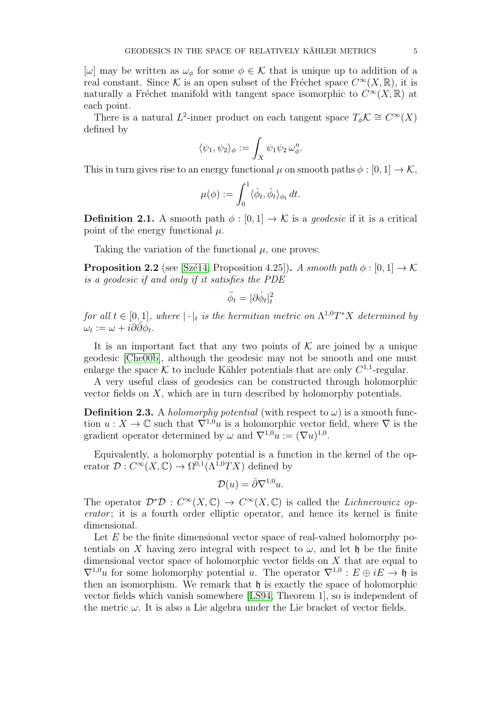[ω] may be written as  $\omega_{\phi}$  for some  $\phi \in \mathcal{K}$  that is unique up to addition of a real constant. Since K is an open subset of the Fréchet space  $C^{\infty}(X,\mathbb{R})$ , it is naturally a Fréchet manifold with tangent space isomorphic to  $C^{\infty}(X,\mathbb{R})$  at each point.

There is a natural L<sup>2</sup>-inner product on each tangent space  $T_{\phi} \mathcal{K} \cong C^{\infty}(X)$ defined by

$$
\langle \psi_1, \psi_2 \rangle_{\phi} := \int_X \psi_1 \psi_2 \, \omega_{\phi}^n.
$$

This in turn gives rise to an energy functional  $\mu$  on smooth paths  $\phi : [0, 1] \to \mathcal{K}$ ,

$$
\mu(\phi) := \int_0^1 \langle \dot{\phi}_t, \dot{\phi}_t \rangle_{\phi_t} dt.
$$

**Definition 2.1.** A smooth path  $\phi : [0, 1] \rightarrow \mathcal{K}$  is a *geodesic* if it is a critical point of the energy functional  $\mu$ .

Taking the variation of the functional  $\mu$ , one proves:

<span id="page-4-0"></span>**Proposition 2.2** (see [Szé14, Proposition 4.25]). A smooth path  $\phi : [0, 1] \rightarrow \mathcal{K}$ is a geodesic if and only if it satisfies the PDE

$$
\ddot{\phi}_t = |\partial \dot{\phi}_t|_t^2
$$

for all  $t \in [0,1]$ , where  $|\cdot|_t$  is the hermitian metric on  $\Lambda^{1,0}T^*X$  determined by  $\omega_t := \omega + i\partial\bar{\partial}\phi_t.$ 

It is an important fact that any two points of  $K$  are joined by a unique geodesic [\[Che00b\]](#page-37-6), although the geodesic may not be smooth and one must enlarge the space K to include Kähler potentials that are only  $C^{1,1}$ -regular.

A very useful class of geodesics can be constructed through holomorphic vector fields on  $X$ , which are in turn described by holomorphy potentials.

<span id="page-4-1"></span>**Definition 2.3.** A *holomorphy potential* (with respect to  $\omega$ ) is a smooth function  $u: X \to \mathbb{C}$  such that  $\nabla^{1,0}u$  is a holomorphic vector field, where  $\nabla$  is the gradient operator determined by  $\omega$  and  $\nabla^{1,0}u := (\nabla u)^{1,0}$ .

Equivalently, a holomorphy potential is a function in the kernel of the operator  $\mathcal{D}: C^{\infty}(X,\mathbb{C}) \to \Omega^{0,1}(\Lambda^{1,0}TX)$  defined by

$$
\mathcal{D}(u) = \bar{\partial} \nabla^{1,0} u.
$$

The operator  $\mathcal{D}^*\mathcal{D}: C^\infty(X,\mathbb{C}) \to C^\infty(X,\mathbb{C})$  is called the *Lichnerowicz op*erator; it is a fourth order elliptic operator, and hence its kernel is finite dimensional.

Let  $E$  be the finite dimensional vector space of real-valued holomorphy potentials on X having zero integral with respect to  $\omega$ , and let h be the finite dimensional vector space of holomorphic vector fields on X that are equal to  $\nabla^{1,0}u$  for some holomorphy potential u. The operator  $\nabla^{1,0}: E \oplus iE \to \mathfrak{h}$  is then an isomorphism. We remark that  $\mathfrak h$  is exactly the space of holomorphic vector fields which vanish somewhere [\[LS94,](#page-38-11) Theorem 1], so is independent of the metric  $\omega$ . It is also a Lie algebra under the Lie bracket of vector fields.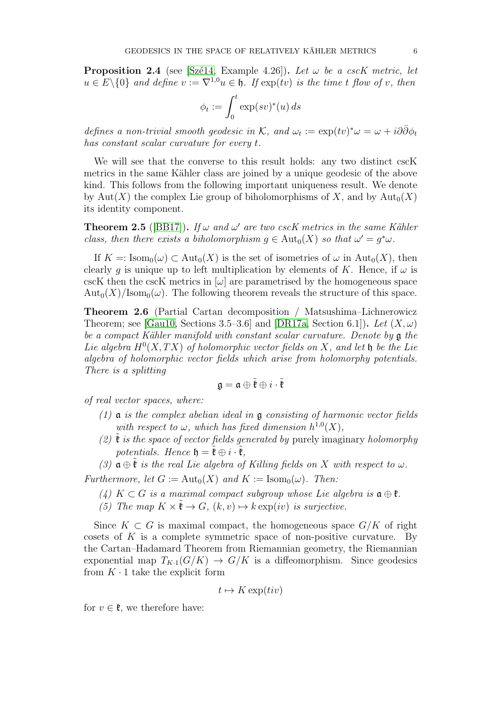<span id="page-5-0"></span>**Proposition 2.4** (see [Szé14, Example 4.26]). Let  $\omega$  be a cscK metric, let  $u \in E \setminus \{0\}$  and define  $v := \nabla^{1,0} u \in \mathfrak{h}$ . If  $\exp(tv)$  is the time t flow of v, then

$$
\phi_t := \int_0^t \exp(sv)^*(u) \, ds
$$

defines a non-trivial smooth geodesic in K, and  $\omega_t := \exp(tv)^* \omega = \omega + i\partial\bar{\partial}\phi_t$ has constant scalar curvature for every t.

We will see that the converse to this result holds: any two distinct cscK metrics in the same Kähler class are joined by a unique geodesic of the above kind. This follows from the following important uniqueness result. We denote by Aut(X) the complex Lie group of biholomorphisms of X, and by  $\text{Aut}_0(X)$ its identity component.

<span id="page-5-1"></span>**Theorem 2.5** ([\[BB17\]](#page-37-10)). If  $\omega$  and  $\omega'$  are two cscK metrics in the same Kähler class, then there exists a biholomorphism  $g \in Aut_0(X)$  so that  $\omega' = g^*\omega$ .

If  $K =: \text{Isom}_0(\omega) \subset \text{Aut}_0(X)$  is the set of isometries of  $\omega$  in  $\text{Aut}_0(X)$ , then clearly g is unique up to left multiplication by elements of K. Hence, if  $\omega$  is cscK then the cscK metrics in  $[\omega]$  are parametrised by the homogeneous space  $\text{Aut}_0(X)/\text{Isom}_0(\omega)$ . The following theorem reveals the structure of this space.

<span id="page-5-2"></span>Theorem 2.6 (Partial Cartan decomposition / Matsushima–Lichnerowicz Theorem; see [\[Gau10,](#page-38-12) Sections 3.5–3.6] and [\[DR17a,](#page-37-11) Section 6.1]). Let  $(X,\omega)$ be a compact Kähler manifold with constant scalar curvature. Denote by  $\mathfrak{g}$  the Lie algebra  $H^0(X,TX)$  of holomorphic vector fields on X, and let  $\mathfrak h$  be the Lie algebra of holomorphic vector fields which arise from holomorphy potentials. There is a splitting

$$
\mathfrak{g}=\mathfrak{a}\oplus\tilde{\mathfrak{k}}\oplus i\cdot\tilde{\mathfrak{k}}
$$

of real vector spaces, where:

- $(1)$  a is the complex abelian ideal in a consisting of harmonic vector fields with respect to  $\omega$ , which has fixed dimension  $h^{1,0}(X)$ ,
- (2)  $\mathfrak k$  is the space of vector fields generated by purely imaginary holomorphy potentials. Hence  $\mathfrak{h} = \tilde{\mathfrak{k}} \oplus i \cdot \tilde{\mathfrak{k}}$ ,
- (3)  $\mathfrak{a} \oplus \mathfrak{k}$  is the real Lie algebra of Killing fields on X with respect to  $\omega$ .

Furthermore, let  $G := \text{Aut}_0(X)$  and  $K := \text{Isom}_0(\omega)$ . Then:

- (4) K  $\subset G$  is a maximal compact subgroup whose Lie algebra is  $\mathfrak{a} \oplus \mathfrak{k}$ .
- (5) The map  $K \times \tilde{\mathfrak{k}} \to G$ ,  $(k, v) \mapsto k \exp(iv)$  is surjective.

Since  $K \subset G$  is maximal compact, the homogeneous space  $G/K$  of right cosets of  $K$  is a complete symmetric space of non-positive curvature. By the Cartan–Hadamard Theorem from Riemannian geometry, the Riemannian exponential map  $T_{K-1}(G/K) \to G/K$  is a diffeomorphism. Since geodesics from  $K \cdot 1$  take the explicit form

$$
t \mapsto K \exp(tiv)
$$

for  $v \in \mathfrak{k}$ , we therefore have: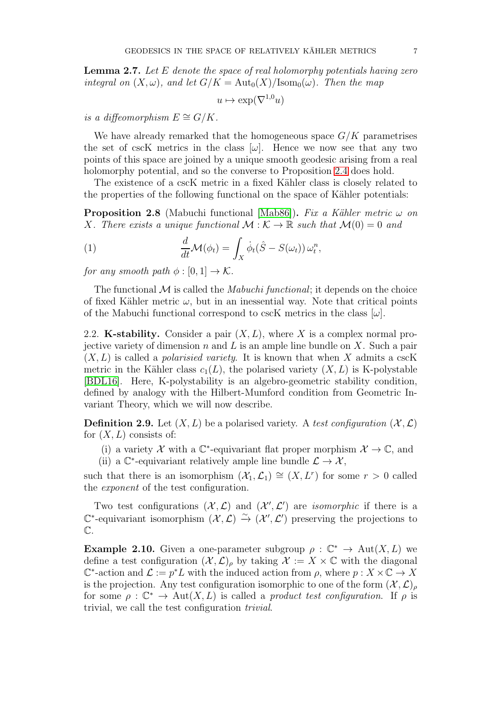<span id="page-6-0"></span>**Lemma 2.7.** Let E denote the space of real holomorphy potentials having zero integral on  $(X, \omega)$ , and let  $G/K = \text{Aut}_0(X)/\text{Isom}_0(\omega)$ . Then the map

$$
u \mapsto \exp(\nabla^{1,0} u)
$$

is a diffeomorphism  $E \cong G/K$ .

We have already remarked that the homogeneous space  $G/K$  parametrises the set of cscK metrics in the class  $[\omega]$ . Hence we now see that any two points of this space are joined by a unique smooth geodesic arising from a real holomorphy potential, and so the converse to Proposition [2.4](#page-5-0) does hold.

The existence of a cscK metric in a fixed Kähler class is closely related to the properties of the following functional on the space of Kähler potentials:

<span id="page-6-2"></span>**Proposition 2.8** (Mabuchi functional [\[Mab86\]](#page-38-7)). Fix a Kähler metric  $\omega$  on X. There exists a unique functional  $\mathcal{M} : \mathcal{K} \to \mathbb{R}$  such that  $\mathcal{M}(0) = 0$  and

(1) 
$$
\frac{d}{dt}\mathcal{M}(\phi_t) = \int_X \dot{\phi}_t(\hat{S} - S(\omega_t)) \,\omega_t^n,
$$

for any smooth path  $\phi : [0, 1] \rightarrow \mathcal{K}$ .

The functional  $\mathcal M$  is called the *Mabuchi functional*; it depends on the choice of fixed Kähler metric  $\omega$ , but in an inessential way. Note that critical points of the Mabuchi functional correspond to cscK metrics in the class  $[\omega]$ .

<span id="page-6-1"></span>2.2. **K-stability.** Consider a pair  $(X, L)$ , where X is a complex normal projective variety of dimension  $n$  and  $L$  is an ample line bundle on  $X$ . Such a pair  $(X, L)$  is called a *polarisied variety*. It is known that when X admits a cscK metric in the Kähler class  $c_1(L)$ , the polarised variety  $(X, L)$  is K-polystable [\[BDL16\]](#page-37-9). Here, K-polystability is an algebro-geometric stability condition, defined by analogy with the Hilbert-Mumford condition from Geometric Invariant Theory, which we will now describe.

**Definition 2.9.** Let  $(X, L)$  be a polarised variety. A test configuration  $(X, L)$ for  $(X, L)$  consists of:

- (i) a variety  $\mathcal{X}$  with a  $\mathbb{C}^*$ -equivariant flat proper morphism  $\mathcal{X} \to \mathbb{C}$ , and
- (ii) a  $\mathbb{C}^*$ -equivariant relatively ample line bundle  $\mathcal{L} \to \mathcal{X}$ ,

such that there is an isomorphism  $(\mathcal{X}_1, \mathcal{L}_1) \cong (X, L^r)$  for some  $r > 0$  called the exponent of the test configuration.

Two test configurations  $(\mathcal{X}, \mathcal{L})$  and  $(\mathcal{X}', \mathcal{L}')$  are *isomorphic* if there is a  $\mathbb{C}^*$ -equivariant isomorphism  $(\mathcal{X}, \mathcal{L}) \stackrel{\sim}{\to} (\mathcal{X}', \mathcal{L}')$  preserving the projections to  $\mathbb{C}.$ 

**Example 2.10.** Given a one-parameter subgroup  $\rho : \mathbb{C}^* \to \text{Aut}(X, L)$  we define a test configuration  $(X, \mathcal{L})_p$  by taking  $\mathcal{X} := X \times \mathbb{C}$  with the diagonal  $\mathbb{C}^*$ -action and  $\mathcal{L} := p^*L$  with the induced action from  $\rho$ , where  $p: X \times \mathbb{C} \to X$ is the projection. Any test configuration isomorphic to one of the form  $(\mathcal{X}, \mathcal{L})_\rho$ for some  $\rho : \mathbb{C}^* \to \text{Aut}(X, L)$  is called a product test configuration. If  $\rho$  is trivial, we call the test configuration trivial.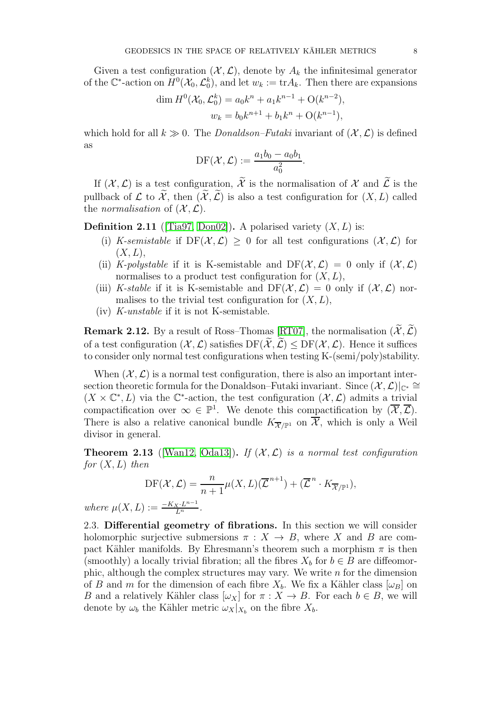Given a test configuration  $(\mathcal{X}, \mathcal{L})$ , denote by  $A_k$  the infinitesimal generator of the  $\mathbb{C}^*$ -action on  $H^0(\mathcal{X}_0, \mathcal{L}_0^k)$ , and let  $w_k := \text{tr} A_k$ . Then there are expansions

$$
\dim H^0(\mathcal{X}_0, \mathcal{L}_0^k) = a_0 k^n + a_1 k^{n-1} + O(k^{n-2}),
$$
  

$$
w_k = b_0 k^{n+1} + b_1 k^n + O(k^{n-1}),
$$

which hold for all  $k \gg 0$ . The *Donaldson–Futaki* invariant of  $(\mathcal{X}, \mathcal{L})$  is defined as

$$
\mathrm{DF}(\mathcal{X}, \mathcal{L}) := \frac{a_1 b_0 - a_0 b_1}{a_0^2}.
$$

If  $(\mathcal{X}, \mathcal{L})$  is a test configuration,  $\widetilde{\mathcal{X}}$  is the normalisation of X and  $\widetilde{\mathcal{L}}$  is the pullback of  $\mathcal L$  to  $\widetilde{\mathcal X}$ , then  $(\widetilde{\mathcal X},\widetilde{\mathcal L})$  is also a test configuration for  $(X,L)$  called the *normalisation* of  $(X, \mathcal{L})$ .

<span id="page-7-0"></span>**Definition 2.11** ([\[Tia97,](#page-39-2) [Don02\]](#page-37-1)). A polarised variety  $(X, L)$  is:

- (i) K-semistable if  $DF(\mathcal{X}, \mathcal{L}) \geq 0$  for all test configurations  $(\mathcal{X}, \mathcal{L})$  for  $(X, L),$
- (ii) K-polystable if it is K-semistable and  $DF(\mathcal{X}, \mathcal{L}) = 0$  only if  $(\mathcal{X}, \mathcal{L})$ normalises to a product test configuration for  $(X, L)$ ,
- (iii) K-stable if it is K-semistable and  $DF(\mathcal{X}, \mathcal{L}) = 0$  only if  $(\mathcal{X}, \mathcal{L})$  normalises to the trivial test configuration for  $(X, L)$ ,
- (iv) K-unstable if it is not K-semistable.

<span id="page-7-2"></span>**Remark 2.12.** By a result of Ross–Thomas [\[RT07\]](#page-38-13), the normalisation  $(\widetilde{\mathcal{X}}, \widetilde{\mathcal{L}})$ of a test configuration  $(\mathcal{X}, \mathcal{L})$  satisfies  $DF(\mathcal{X}, \mathcal{L}) \le DF(\mathcal{X}, \mathcal{L})$ . Hence it suffices to consider only normal test configurations when testing K-(semi/poly)stability.

When  $(\mathcal{X}, \mathcal{L})$  is a normal test configuration, there is also an important intersection theoretic formula for the Donaldson–Futaki invariant. Since  $(X, \mathcal{L})|_{\mathbb{C}^*} \cong$  $(X \times \mathbb{C}^*, L)$  via the  $\mathbb{C}^*$ -action, the test configuration  $(X, \mathcal{L})$  admits a trivial compactification over  $\infty \in \mathbb{P}^1$ . We denote this compactification by  $(\overline{\mathcal{X}}, \overline{\mathcal{L}})$ . There is also a relative canonical bundle  $K_{\overline{X}/\mathbb{P}^1}$  on  $\overline{\mathcal{X}}$ , which is only a Weil divisor in general.

<span id="page-7-1"></span>**Theorem 2.13** ([\[Wan12,](#page-39-3) [Oda13\]](#page-38-14)). If  $(X, \mathcal{L})$  is a normal test configuration for  $(X, L)$  then

$$
\mathrm{DF}(\mathcal{X},\mathcal{L})=\frac{n}{n+1}\mu(X,L)(\overline{\mathcal{L}}^{\,n+1})+(\overline{\mathcal{L}}^{\,n} \cdot K_{\overline{\mathcal{X}}/\mathbb{P}^1}),
$$
 where  $\mu(X,L):=\frac{-K_X \cdot L^{n-1}}{L^n}.$ 

2.3. Differential geometry of fibrations. In this section we will consider holomorphic surjective submersions  $\pi : X \to B$ , where X and B are compact Kähler manifolds. By Ehresmann's theorem such a morphism  $\pi$  is then (smoothly) a locally trivial fibration; all the fibres  $X_b$  for  $b \in B$  are diffeomorphic, although the complex structures may vary. We write  $n$  for the dimension of B and m for the dimension of each fibre  $X_b$ . We fix a Kähler class  $[\omega_B]$  on B and a relatively Kähler class  $[\omega_X]$  for  $\pi : X \to B$ . For each  $b \in B$ , we will denote by  $\omega_b$  the Kähler metric  $\omega_X|_{X_b}$  on the fibre  $X_b$ .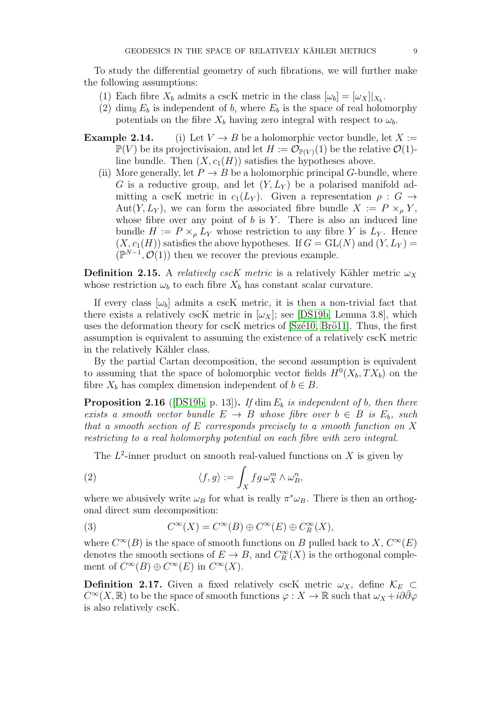To study the differential geometry of such fibrations, we will further make the following assumptions:

- (1) Each fibre  $X_b$  admits a cscK metric in the class  $[\omega_b] = [\omega_X]|_{X_b}$ .
- (2) dim<sub>R</sub>  $E_b$  is independent of b, where  $E_b$  is the space of real holomorphy potentials on the fibre  $X_b$  having zero integral with respect to  $\omega_b$ .
- **Example 2.14.** (i) Let  $V \to B$  be a holomorphic vector bundle, let  $X :=$  $\mathbb{P}(V)$  be its projectivisaion, and let  $H := \mathcal{O}_{\mathbb{P}(V)}(1)$  be the relative  $\mathcal{O}(1)$ line bundle. Then  $(X, c_1(H))$  satisfies the hypotheses above.
	- (ii) More generally, let  $P \to B$  be a holomorphic principal G-bundle, where G is a reductive group, and let  $(Y, L_Y)$  be a polarised manifold admitting a cscK metric in  $c_1(L_Y)$ . Given a representation  $\rho : G \to$ Aut $(Y, L_Y)$ , we can form the associated fibre bundle  $X := P \times_{\rho} Y$ , whose fibre over any point of  $b$  is  $Y$ . There is also an induced line bundle  $H := P \times_{\rho} L_Y$  whose restriction to any fibre Y is  $L_Y$ . Hence  $(X, c_1(H))$  satisfies the above hypotheses. If  $G = GL(N)$  and  $(Y, L_Y) =$  $(\mathbb{P}^{N-1}, \mathcal{O}(1))$  then we recover the previous example.

<span id="page-8-2"></span>**Definition 2.15.** A relatively cscK metric is a relatively Kähler metric  $\omega_X$ whose restriction  $\omega_b$  to each fibre  $X_b$  has constant scalar curvature.

If every class  $\omega_b$  admits a cscK metric, it is then a non-trivial fact that there exists a relatively cscK metric in  $[\omega_X]$ ; see [\[DS19b,](#page-38-1) Lemma 3.8], which uses the deformation theory for cscK metrics of [Szé10, Brö11]. Thus, the first assumption is equivalent to assuming the existence of a relatively cscK metric in the relatively Kähler class.

By the partial Cartan decomposition, the second assumption is equivalent to assuming that the space of holomorphic vector fields  $H^0(X_b, TX_b)$  on the fibre  $X_b$  has complex dimension independent of  $b \in B$ .

<span id="page-8-1"></span>**Proposition 2.16** ([\[DS19b,](#page-38-1) p. 13]). If dim  $E<sub>b</sub>$  is independent of b, then there exists a smooth vector bundle  $E \to B$  whose fibre over  $b \in B$  is  $E_b$ , such that a smooth section of E corresponds precisely to a smooth function on X restricting to a real holomorphy potential on each fibre with zero integral.

<span id="page-8-0"></span>The  $L^2$ -inner product on smooth real-valued functions on X is given by

(2) 
$$
\langle f, g \rangle := \int_X f g \, \omega_X^m \wedge \omega_B^n,
$$

where we abusively write  $\omega_B$  for what is really  $\pi^*\omega_B$ . There is then an orthogonal direct sum decomposition:

(3) 
$$
C^{\infty}(X) = C^{\infty}(B) \oplus C^{\infty}(E) \oplus C_R^{\infty}(X),
$$

where  $C^{\infty}(B)$  is the space of smooth functions on B pulled back to X,  $C^{\infty}(E)$ denotes the smooth sections of  $E \to B$ , and  $C_R^{\infty}(X)$  is the orthogonal complement of  $C^{\infty}(B) \oplus C^{\infty}(E)$  in  $C^{\infty}(X)$ .

**Definition 2.17.** Given a fixed relatively cscK metric  $\omega_X$ , define  $\mathcal{K}_E$  ⊂  $C^{\infty}(X,\mathbb{R})$  to be the space of smooth functions  $\varphi: X \to \mathbb{R}$  such that  $\omega_X + i\partial\bar{\partial}\varphi$ is also relatively cscK.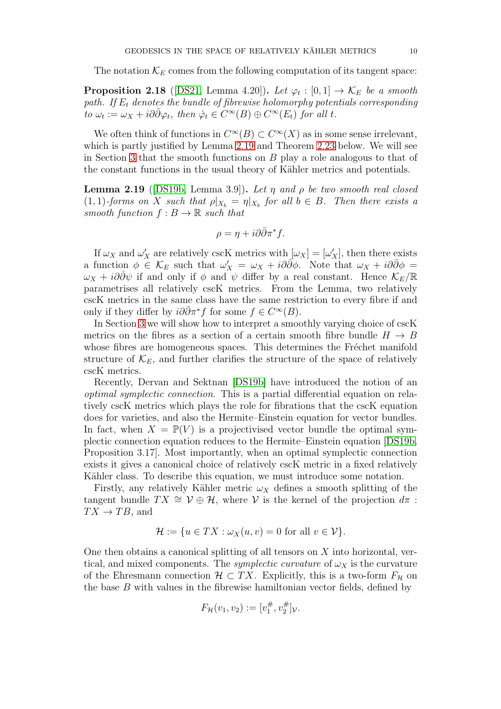The notation  $\mathcal{K}_E$  comes from the following computation of its tangent space:

<span id="page-9-1"></span>**Proposition 2.18** ([\[DS21,](#page-38-3) Lemma 4.20]). Let  $\varphi_t : [0,1] \to \mathcal{K}_E$  be a smooth path. If  $E_t$  denotes the bundle of fibrewise holomorphy potentials corresponding to  $\omega_t := \omega_X + i\partial \bar{\partial} \varphi_t$ , then  $\dot{\varphi}_t \in C^{\infty}(B) \oplus C^{\infty}(E_t)$  for all t.

We often think of functions in  $C^{\infty}(B) \subset C^{\infty}(X)$  as in some sense irrelevant, which is partly justified by Lemma [2.19](#page-9-0) and Theorem [2.23](#page-11-1) below. We will see in Section [3](#page-14-0) that the smooth functions on  $B$  play a role analogous to that of the constant functions in the usual theory of Kähler metrics and potentials.

<span id="page-9-0"></span>**Lemma 2.19** ([\[DS19b,](#page-38-1) Lemma 3.9]). Let  $\eta$  and  $\rho$  be two smooth real closed  $(1,1)$ -forms on X such that  $\rho|_{X_b} = \eta|_{X_b}$  for all  $b \in B$ . Then there exists a smooth function  $f : B \to \mathbb{R}$  such that

$$
\rho = \eta + i\partial \bar{\partial} \pi^* f.
$$

If  $\omega_X$  and  $\omega'_X$  are relatively cscK metrics with  $[\omega_X] = [\omega'_X]$ , then there exists a function  $\phi \in \mathcal{K}_E$  such that  $\omega'_X = \omega_X + i\partial\bar{\partial}\phi$ . Note that  $\omega_X + i\partial\bar{\partial}\phi =$  $\omega_X + i\partial\bar{\partial}\psi$  if and only if  $\phi$  and  $\psi$  differ by a real constant. Hence  $\mathcal{K}_E/\mathbb{R}$ parametrises all relatively cscK metrics. From the Lemma, two relatively cscK metrics in the same class have the same restriction to every fibre if and only if they differ by  $i\partial \bar{\partial} \pi^* f$  for some  $f \in C^{\infty}(B)$ .

In Section [3](#page-14-0) we will show how to interpret a smoothly varying choice of cscK metrics on the fibres as a section of a certain smooth fibre bundle  $H \to B$ whose fibres are homogeneous spaces. This determines the Fréchet manifold structure of  $\mathcal{K}_E$ , and further clarifies the structure of the space of relatively cscK metrics.

Recently, Dervan and Sektnan [\[DS19b\]](#page-38-1) have introduced the notion of an optimal symplectic connection. This is a partial differential equation on relatively cscK metrics which plays the role for fibrations that the cscK equation does for varieties, and also the Hermite–Einstein equation for vector bundles. In fact, when  $X = \mathbb{P}(V)$  is a projectivised vector bundle the optimal symplectic connection equation reduces to the Hermite–Einstein equation [\[DS19b,](#page-38-1) Proposition 3.17]. Most importantly, when an optimal symplectic connection exists it gives a canonical choice of relatively cscK metric in a fixed relatively Kähler class. To describe this equation, we must introduce some notation.

Firstly, any relatively Kähler metric  $\omega_X$  defines a smooth splitting of the tangent bundle  $TX \cong \mathcal{V} \oplus \mathcal{H}$ , where  $\mathcal{V}$  is the kernel of the projection  $d\pi$ :  $TX \to TB$ , and

$$
\mathcal{H} := \{ u \in TX : \omega_X(u, v) = 0 \text{ for all } v \in \mathcal{V} \}.
$$

One then obtains a canonical splitting of all tensors on  $X$  into horizontal, vertical, and mixed components. The *symplectic curvature* of  $\omega_X$  is the curvature of the Ehresmann connection  $\mathcal{H} \subset TX$ . Explicitly, this is a two-form  $F_{\mathcal{H}}$  on the base  $B$  with values in the fibrewise hamiltonian vector fields, defined by

$$
F_{\mathcal{H}}(v_1, v_2) := [v_1^{\#}, v_2^{\#}]_{\mathcal{V}}.
$$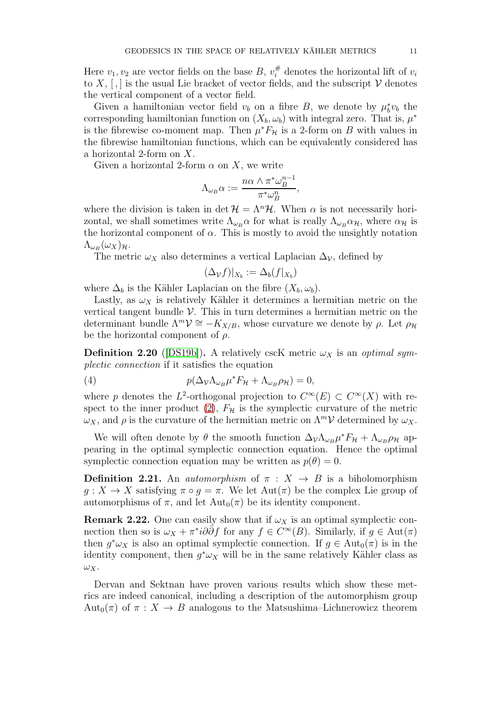Here  $v_1, v_2$  are vector fields on the base B,  $v_i^{\#}$  denotes the horizontal lift of  $v_i$ to X,  $\lceil$ , is the usual Lie bracket of vector fields, and the subscript V denotes the vertical component of a vector field.

Given a hamiltonian vector field  $v_b$  on a fibre B, we denote by  $\mu_b^* v_b$  the corresponding hamiltonian function on  $(X_b, \omega_b)$  with integral zero. That is,  $\mu^*$ is the fibrewise co-moment map. Then  $\mu^* F_{\mathcal{H}}$  is a 2-form on B with values in the fibrewise hamiltonian functions, which can be equivalently considered has a horizontal 2-form on X.

Given a horizontal 2-form  $\alpha$  on X, we write

$$
\Lambda_{\omega_B}\alpha := \frac{n\alpha \wedge \pi^* \omega_B^{n-1}}{\pi^* \omega_B^n},
$$

where the division is taken in det  $\mathcal{H} = \Lambda^n \mathcal{H}$ . When  $\alpha$  is not necessarily horizontal, we shall sometimes write  $\Lambda_{\omega_B} \alpha$  for what is really  $\Lambda_{\omega_B} \alpha_{\mathcal{H}}$ , where  $\alpha_{\mathcal{H}}$  is the horizontal component of  $\alpha$ . This is mostly to avoid the unsightly notation  $\Lambda_{\omega_B}(\omega_X)_{\mathcal{H}}.$ 

The metric  $\omega_X$  also determines a vertical Laplacian  $\Delta_{\mathcal{V}}$ , defined by

$$
(\Delta_{\mathcal{V}}f)|_{X_b} := \Delta_b(f|_{X_b})
$$

where  $\Delta_b$  is the Kähler Laplacian on the fibre  $(X_b, \omega_b)$ .

Lastly, as  $\omega_X$  is relatively Kähler it determines a hermitian metric on the vertical tangent bundle  $V$ . This in turn determines a hermitian metric on the determinant bundle  $\Lambda^m \mathcal{V} \cong -K_{X/B}$ , whose curvature we denote by  $\rho$ . Let  $\rho_{\mathcal{H}}$ be the horizontal component of  $\rho$ .

<span id="page-10-1"></span>**Definition 2.20** ([\[DS19b\]](#page-38-1)). A relatively cscK metric  $\omega_X$  is an *optimal sym*plectic connection if it satisfies the equation

<span id="page-10-0"></span>(4) 
$$
p(\Delta_{\mathcal{V}}\Lambda_{\omega_B}\mu^*F_{\mathcal{H}}+\Lambda_{\omega_B}\rho_{\mathcal{H}})=0,
$$

where p denotes the L<sup>2</sup>-orthogonal projection to  $C^{\infty}(E) \subset C^{\infty}(X)$  with re-spect to the inner product [\(2\)](#page-8-0),  $F_{\mathcal{H}}$  is the symplectic curvature of the metric  $\omega_X$ , and  $\rho$  is the curvature of the hermitian metric on  $\Lambda^m \mathcal{V}$  determined by  $\omega_X$ .

We will often denote by  $\theta$  the smooth function  $\Delta_{\mathcal{V}} \Lambda_{\omega_B} \mu^* F_{\mathcal{H}} + \Lambda_{\omega_B} \rho_{\mathcal{H}}$  appearing in the optimal symplectic connection equation. Hence the optimal symplectic connection equation may be written as  $p(\theta) = 0$ .

**Definition 2.21.** An *automorphism* of  $\pi$  :  $X \rightarrow B$  is a biholomorphism  $g: X \to X$  satisfying  $\pi \circ g = \pi$ . We let  $\text{Aut}(\pi)$  be the complex Lie group of automorphisms of  $\pi$ , and let  $\text{Aut}_0(\pi)$  be its identity component.

<span id="page-10-2"></span>**Remark 2.22.** One can easily show that if  $\omega_X$  is an optimal symplectic connection then so is  $\omega_X + \pi^* i \partial \bar{\partial} f$  for any  $f \in C^{\infty}(B)$ . Similarly, if  $g \in \text{Aut}(\pi)$ then  $g^*\omega_X$  is also an optimal symplectic connection. If  $g \in \text{Aut}_0(\pi)$  is in the identity component, then  $g^*\omega_X$  will be in the same relatively Kähler class as  $\omega_X$ .

Dervan and Sektnan have proven various results which show these metrics are indeed canonical, including a description of the automorphism group Aut<sub>0</sub>( $\pi$ ) of  $\pi$  :  $X \to B$  analogous to the Matsushima–Lichnerowicz theorem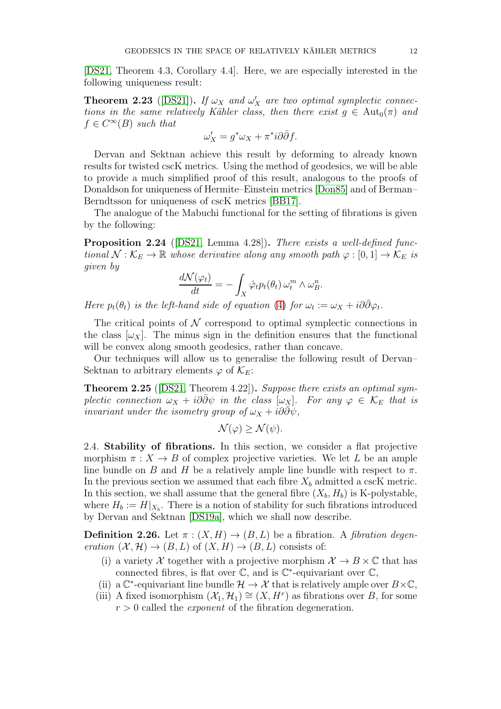[\[DS21,](#page-38-3) Theorem 4.3, Corollary 4.4]. Here, we are especially interested in the following uniqueness result:

<span id="page-11-1"></span>**Theorem 2.23** ([\[DS21\]](#page-38-3)). If  $\omega_X$  and  $\omega'_X$  are two optimal symplectic connections in the same relatively Kähler class, then there exist  $g \in \text{Aut}_0(\pi)$  and  $f \in C^{\infty}(B)$  such that

$$
\omega'_X = g^*\omega_X + \pi^*i\partial\bar{\partial}f.
$$

Dervan and Sektnan achieve this result by deforming to already known results for twisted cscK metrics. Using the method of geodesics, we will be able to provide a much simplified proof of this result, analogous to the proofs of Donaldson for uniqueness of Hermite–Einstein metrics [\[Don85\]](#page-37-0) and of Berman– Berndtsson for uniqueness of cscK metrics [\[BB17\]](#page-37-10).

The analogue of the Mabuchi functional for the setting of fibrations is given by the following:

<span id="page-11-3"></span>**Proposition 2.24** ([\[DS21,](#page-38-3) Lemma 4.28]). There exists a well-defined functional  $\mathcal{N}: \mathcal{K}_E \to \mathbb{R}$  whose derivative along any smooth path  $\varphi : [0,1] \to \mathcal{K}_E$  is given by

$$
\frac{d\mathcal{N}(\varphi_t)}{dt} = -\int_X \dot{\varphi}_t p_t(\theta_t) \,\omega_t^m \wedge \omega_B^n.
$$

Here  $p_t(\theta_t)$  is the left-hand side of equation [\(4\)](#page-10-0) for  $\omega_t := \omega_X + i\partial\bar{\partial}\varphi_t$ .

The critical points of  $\mathcal N$  correspond to optimal symplectic connections in the class  $[\omega_X]$ . The minus sign in the definition ensures that the functional will be convex along smooth geodesics, rather than concave.

Our techniques will allow us to generalise the following result of Dervan– Sektnan to arbitrary elements  $\varphi$  of  $\mathcal{K}_E$ :

<span id="page-11-2"></span>Theorem 2.25 ([\[DS21,](#page-38-3) Theorem 4.22]). Suppose there exists an optimal symplectic connection  $\omega_X + i\partial \partial \psi$  in the class  $[\omega_X]$ . For any  $\varphi \in \mathcal{K}_E$  that is invariant under the isometry group of  $\omega_X + i\partial\bar{\partial}\psi$ ,

$$
\mathcal{N}(\varphi) \ge \mathcal{N}(\psi).
$$

<span id="page-11-0"></span>2.4. Stability of fibrations. In this section, we consider a flat projective morphism  $\pi : X \to B$  of complex projective varieties. We let L be an ample line bundle on B and H be a relatively ample line bundle with respect to  $\pi$ . In the previous section we assumed that each fibre  $X_b$  admitted a cscK metric. In this section, we shall assume that the general fibre  $(X_b, H_b)$  is K-polystable, where  $H_b := H|_{X_b}$ . There is a notion of stability for such fibrations introduced by Dervan and Sektnan [\[DS19a\]](#page-38-2), which we shall now describe.

**Definition 2.26.** Let  $\pi$  :  $(X, H) \rightarrow (B, L)$  be a fibration. A *fibration degen*eration  $(X, \mathcal{H}) \to (B, L)$  of  $(X, H) \to (B, L)$  consists of:

- (i) a variety X together with a projective morphism  $\mathcal{X} \to B \times \mathbb{C}$  that has connected fibres, is flat over  $\mathbb{C}$ , and is  $\mathbb{C}^*$ -equivariant over  $\mathbb{C}$ ,
- (ii) a  $\mathbb{C}^*$ -equivariant line bundle  $\mathcal{H} \to \mathcal{X}$  that is relatively ample over  $B \times \mathbb{C}$ ,
- (iii) A fixed isomorphism  $(\mathcal{X}_1, \mathcal{H}_1) \cong (X, H^r)$  as fibrations over B, for some  $r > 0$  called the *exponent* of the fibration degeneration.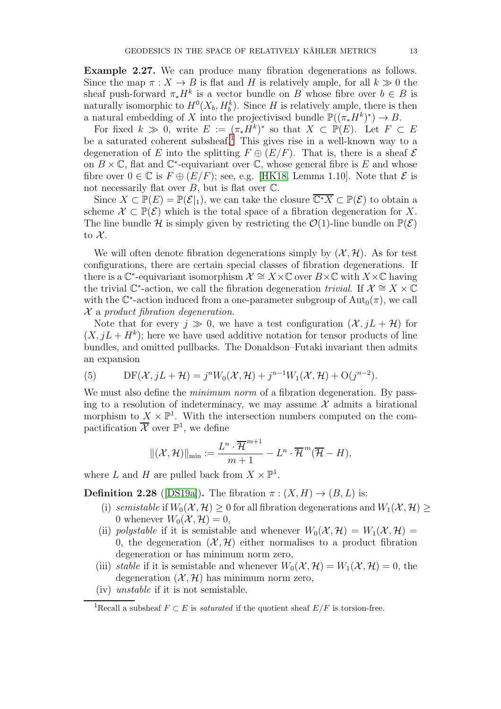<span id="page-12-2"></span>Example 2.27. We can produce many fibration degenerations as follows. Since the map  $\pi: X \to B$  is flat and H is relatively ample, for all  $k \gg 0$  the sheaf push-forward  $\pi_* H^k$  is a vector bundle on B whose fibre over  $b \in B$  is naturally isomorphic to  $H^0(X_b, H_b^k)$ . Since H is relatively ample, there is then a natural embedding of X into the projectivised bundle  $\mathbb{P}((\pi_*H^k)^*) \to B$ .

For fixed  $k \geq 0$ , write  $E := (\bar{\pi}_* H^k)^*$  so that  $X \subset \mathbb{P}(E)$ . Let  $F \subset E$ be a saturated coherent subsheaf.<sup>[1](#page-12-0)</sup> This gives rise in a well-known way to a degeneration of E into the splitting  $F \oplus (E/F)$ . That is, there is a sheaf  $\mathcal E$ on  $B \times \mathbb{C}$ , flat and  $\mathbb{C}^*$ -equivariant over  $\mathbb{C}$ , whose general fibre is E and whose fibre over  $0 \in \mathbb{C}$  is  $F \oplus (E/F)$ ; see, e.g. [\[HK18,](#page-38-9) Lemma 1.10]. Note that  $\mathcal E$  is not necessarily flat over  $B$ , but is flat over  $\mathbb{C}$ .

Since  $X \subset \mathbb{P}(E) = \mathbb{P}(\mathcal{E}|_1)$ , we can take the closure  $\overline{\mathbb{C}^*X} \subset \mathbb{P}(\mathcal{E})$  to obtain a scheme  $\mathcal{X} \subset \mathbb{P}(\mathcal{E})$  which is the total space of a fibration degeneration for X. The line bundle H is simply given by restricting the  $\mathcal{O}(1)$ -line bundle on  $\mathbb{P}(\mathcal{E})$ to  $\mathcal{X}$ .

We will often denote fibration degenerations simply by  $(\mathcal{X}, \mathcal{H})$ . As for test configurations, there are certain special classes of fibration degenerations. If there is a  $\mathbb{C}^*$ -equivariant isomorphism  $\mathcal{X} \cong X \times \mathbb{C}$  over  $B \times \mathbb{C}$  with  $X \times \mathbb{C}$  having the trivial  $\mathbb{C}^*$ -action, we call the fibration degeneration trivial. If  $\mathcal{X} \cong X \times \mathbb{C}$ with the  $\mathbb{C}^*$ -action induced from a one-parameter subgroup of  $\text{Aut}_0(\pi)$ , we call  $\mathcal X$  a product fibration degeneration.

Note that for every  $j \gg 0$ , we have a test configuration  $(\mathcal{X}, jL + \mathcal{H})$  for  $(X, jL + H<sup>k</sup>)$ ; here we have used additive notation for tensor products of line bundles, and omitted pullbacks. The Donaldson–Futaki invariant then admits an expansion

(5) 
$$
DF(\mathcal{X}, jL + \mathcal{H}) = j^{n}W_{0}(\mathcal{X}, \mathcal{H}) + j^{n-1}W_{1}(\mathcal{X}, \mathcal{H}) + O(j^{n-2}).
$$

We must also define the *minimum norm* of a fibration degeneration. By passing to a resolution of indeterminacy, we may assume  $\mathcal X$  admits a birational morphism to  $X \times \mathbb{P}^1$ . With the intersection numbers computed on the compactification  $\overline{\mathcal{X}}$  over  $\mathbb{P}^1$ , we define

$$
\|(\mathcal{X},\mathcal{H})\|_{\min} := \frac{L^n \cdot \overline{\mathcal{H}}^{m+1}}{m+1} - L^n \cdot \overline{\mathcal{H}}^m(\overline{\mathcal{H}} - H),
$$

where L and H are pulled back from  $X \times \mathbb{P}^1$ .

<span id="page-12-1"></span>**Definition 2.28** ([\[DS19a\]](#page-38-2)). The fibration  $\pi$  :  $(X, H) \rightarrow (B, L)$  is:

- (i) semistable if  $W_0(\mathcal{X}, \mathcal{H}) > 0$  for all fibration degenerations and  $W_1(\mathcal{X}, \mathcal{H}) > 0$ 0 whenever  $W_0(\mathcal{X}, \mathcal{H}) = 0$ ,
- (ii) polystable if it is semistable and whenever  $W_0(\mathcal{X}, \mathcal{H}) = W_1(\mathcal{X}, \mathcal{H}) =$ 0, the degeneration  $(\mathcal{X}, \mathcal{H})$  either normalises to a product fibration degeneration or has minimum norm zero,
- (iii) stable if it is semistable and whenever  $W_0(\mathcal{X}, \mathcal{H}) = W_1(\mathcal{X}, \mathcal{H}) = 0$ , the degeneration  $(\mathcal{X}, \mathcal{H})$  has minimum norm zero,
- (iv) unstable if it is not semistable.

<span id="page-12-0"></span><sup>&</sup>lt;sup>1</sup>Recall a subsheaf  $F \subset E$  is *saturated* if the quotient sheaf  $E/F$  is torsion-free.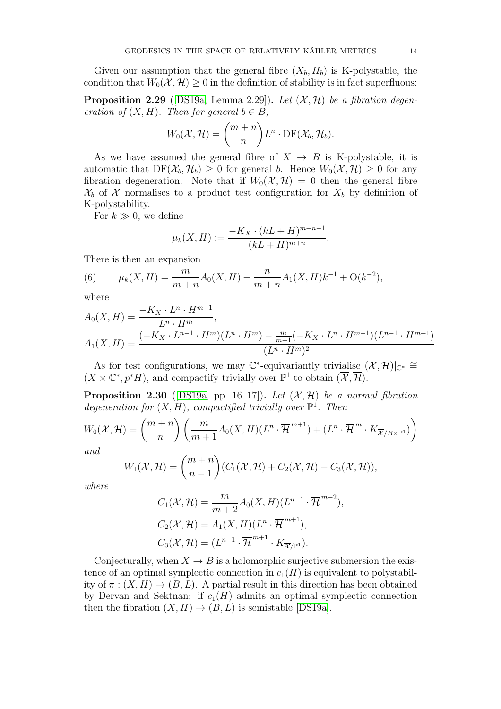Given our assumption that the general fibre  $(X_b, H_b)$  is K-polystable, the condition that  $W_0(\mathcal{X}, \mathcal{H}) \geq 0$  in the definition of stability is in fact superfluous:

<span id="page-13-1"></span>**Proposition 2.29** ([\[DS19a,](#page-38-2) Lemma 2.29]). Let  $(\mathcal{X}, \mathcal{H})$  be a fibration degeneration of  $(X, H)$ . Then for general  $b \in B$ ,

$$
W_0(\mathcal{X}, \mathcal{H}) = \binom{m+n}{n} L^n \cdot \mathrm{DF}(\mathcal{X}_b, \mathcal{H}_b).
$$

As we have assumed the general fibre of  $X \rightarrow B$  is K-polystable, it is automatic that  $DF(\mathcal{X}_b, \mathcal{H}_b) \geq 0$  for general b. Hence  $W_0(\mathcal{X}, \mathcal{H}) \geq 0$  for any fibration degeneration. Note that if  $W_0(\mathcal{X}, \mathcal{H}) = 0$  then the general fibre  $\mathcal{X}_b$  of X normalises to a product test configuration for  $X_b$  by definition of K-polystability.

For  $k \gg 0$ , we define

$$
\mu_k(X, H) := \frac{-K_X \cdot (kL + H)^{m+n-1}}{(kL + H)^{m+n}}
$$

.

There is then an expansion

<span id="page-13-0"></span>(6) 
$$
\mu_k(X, H) = \frac{m}{m+n} A_0(X, H) + \frac{n}{m+n} A_1(X, H) k^{-1} + O(k^{-2}),
$$

where

$$
A_0(X, H) = \frac{-K_X \cdot L^n \cdot H^{m-1}}{L^n \cdot H^m},
$$
  
\n
$$
A_1(X, H) = \frac{(-K_X \cdot L^{n-1} \cdot H^m)(L^n \cdot H^m) - \frac{m}{m+1}(-K_X \cdot L^n \cdot H^{m-1})(L^{n-1} \cdot H^{m+1})}{(L^n \cdot H^m)^2}
$$

As for test configurations, we may  $\mathbb{C}^*$ -equivariantly trivialise  $(\mathcal{X}, \mathcal{H})|_{\mathbb{C}^*} \cong$  $(X \times \mathbb{C}^*, p^*H)$ , and compactify trivially over  $\mathbb{P}^1$  to obtain  $(\overline{\mathcal{X}}, \overline{\mathcal{H}})$ .

<span id="page-13-2"></span>**Proposition 2.30** ([\[DS19a,](#page-38-2) pp. 16–17]). Let  $(\mathcal{X}, \mathcal{H})$  be a normal fibration degeneration for  $(X, H)$ , compactified trivially over  $\mathbb{P}^1$ . Then

$$
W_0(\mathcal{X}, \mathcal{H}) = {m+n \choose n} \left( \frac{m}{m+1} A_0(X, H) (L^n \cdot \overline{\mathcal{H}}^{m+1}) + (L^n \cdot \overline{\mathcal{H}}^m \cdot K_{\overline{\mathcal{X}}/B \times \mathbb{P}^1}) \right)
$$

and

$$
W_1(\mathcal{X}, \mathcal{H}) = {m+n \choose n-1} (C_1(\mathcal{X}, \mathcal{H}) + C_2(\mathcal{X}, \mathcal{H}) + C_3(\mathcal{X}, \mathcal{H})),
$$

where

$$
C_1(\mathcal{X}, \mathcal{H}) = \frac{m}{m+2} A_0(X, H)(L^{n-1} \cdot \overline{\mathcal{H}}^{m+2}),
$$
  
\n
$$
C_2(\mathcal{X}, \mathcal{H}) = A_1(X, H)(L^n \cdot \overline{\mathcal{H}}^{m+1}),
$$
  
\n
$$
C_3(\mathcal{X}, \mathcal{H}) = (L^{n-1} \cdot \overline{\mathcal{H}}^{m+1} \cdot K_{\overline{\mathcal{X}}/\mathbb{P}^1}).
$$

Conjecturally, when  $X \to B$  is a holomorphic surjective submersion the existence of an optimal symplectic connection in  $c_1(H)$  is equivalent to polystability of  $\pi : (X, H) \to (B, L)$ . A partial result in this direction has been obtained by Dervan and Sektnan: if  $c_1(H)$  admits an optimal symplectic connection then the fibration  $(X, H) \to (B, L)$  is semistable [\[DS19a\]](#page-38-2).

.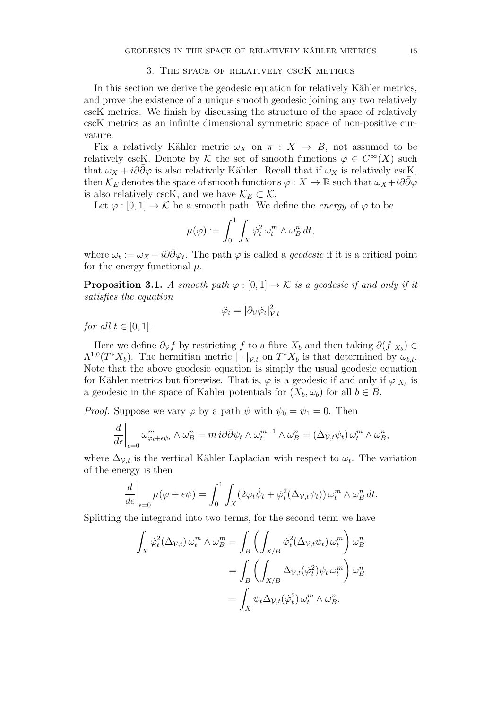#### 3. The space of relatively cscK metrics

<span id="page-14-0"></span>In this section we derive the geodesic equation for relatively Kähler metrics, and prove the existence of a unique smooth geodesic joining any two relatively cscK metrics. We finish by discussing the structure of the space of relatively cscK metrics as an infinite dimensional symmetric space of non-positive curvature.

Fix a relatively Kähler metric  $\omega_X$  on  $\pi : X \to B$ , not assumed to be relatively cscK. Denote by K the set of smooth functions  $\varphi \in C^{\infty}(X)$  such that  $\omega_X + i\partial\bar{\partial}\varphi$  is also relatively Kähler. Recall that if  $\omega_X$  is relatively cscK, then  $\mathcal{K}_E$  denotes the space of smooth functions  $\varphi: X \to \mathbb{R}$  such that  $\omega_X + i\partial\bar{\partial}\varphi$ is also relatively cscK, and we have  $\mathcal{K}_E \subset \mathcal{K}$ .

Let  $\varphi : [0, 1] \to \mathcal{K}$  be a smooth path. We define the *energy* of  $\varphi$  to be

$$
\mu(\varphi) := \int_0^1 \int_X \dot{\varphi}_t^2 \,\omega_t^m \wedge \omega_B^n \,dt,
$$

where  $\omega_t := \omega_X + i\partial\bar{\partial}\varphi_t$ . The path  $\varphi$  is called a *geodesic* if it is a critical point for the energy functional  $\mu$ .

**Proposition 3.1.** A smooth path  $\varphi : [0, 1] \to \mathcal{K}$  is a geodesic if and only if it satisfies the equation

$$
\ddot{\varphi}_t = |\partial_{\mathcal{V}} \dot{\varphi}_t|_{\mathcal{V},t}^2
$$

for all  $t \in [0, 1]$ .

Here we define  $\partial_{\mathcal{V}} f$  by restricting f to a fibre  $X_b$  and then taking  $\partial(f|_{X_b}) \in$  $\Lambda^{1,0}(T^*X_b)$ . The hermitian metric  $|\cdot|_{\mathcal{V},t}$  on  $T^*X_b$  is that determined by  $\omega_{b,t}$ . Note that the above geodesic equation is simply the usual geodesic equation for Kähler metrics but fibrewise. That is,  $\varphi$  is a geodesic if and only if  $\varphi|_{X_b}$  is a geodesic in the space of Kähler potentials for  $(X_b, \omega_b)$  for all  $b \in B$ .

*Proof.* Suppose we vary  $\varphi$  by a path  $\psi$  with  $\psi_0 = \psi_1 = 0$ . Then

$$
\left. \frac{d}{d\epsilon} \right|_{\epsilon=0} \omega_{\varphi_t + \epsilon \psi_t}^m \wedge \omega_B^n = m \, i \partial \bar{\partial} \psi_t \wedge \omega_t^{m-1} \wedge \omega_B^n = (\Delta_{\mathcal{V},t} \psi_t) \, \omega_t^m \wedge \omega_B^n,
$$

where  $\Delta_{v,t}$  is the vertical Kähler Laplacian with respect to  $\omega_t$ . The variation of the energy is then

$$
\frac{d}{d\epsilon}\bigg|_{\epsilon=0}\mu(\varphi+\epsilon\psi) = \int_0^1 \int_X (2\dot{\varphi}_t\dot{\psi}_t + \dot{\varphi}_t^2(\Delta_{\mathcal{V},t}\psi_t)) \,\omega_t^m \wedge \omega_B^n \,dt.
$$

Splitting the integrand into two terms, for the second term we have

$$
\int_X \dot{\varphi}_t^2(\Delta_{\mathcal{V},t}) \,\omega_t^m \wedge \omega_B^m = \int_B \left( \int_{X/B} \dot{\varphi}_t^2(\Delta_{\mathcal{V},t} \psi_t) \,\omega_t^m \right) \omega_B^n
$$

$$
= \int_B \left( \int_{X/B} \Delta_{\mathcal{V},t}(\dot{\varphi}_t^2) \psi_t \,\omega_t^m \right) \omega_B^n
$$

$$
= \int_X \psi_t \Delta_{\mathcal{V},t}(\dot{\varphi}_t^2) \,\omega_t^m \wedge \omega_B^n.
$$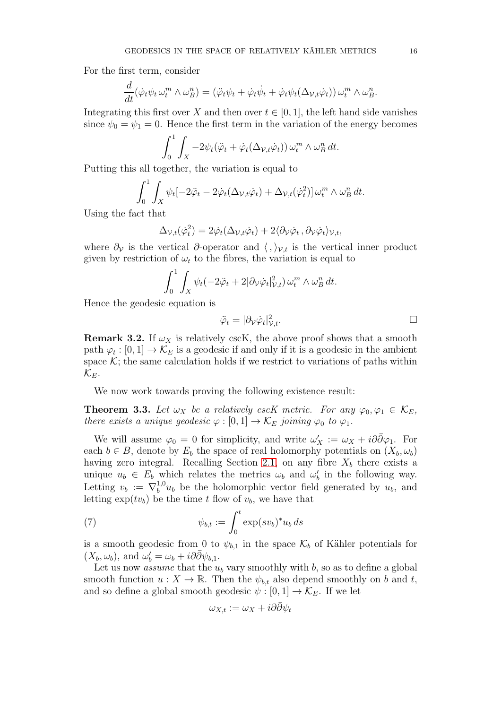For the first term, consider

$$
\frac{d}{dt}(\dot{\varphi}_t\psi_t\,\omega_t^m\wedge\omega_B^n)=(\ddot{\varphi}_t\psi_t+\dot{\varphi}_t\dot{\psi}_t+\dot{\varphi}_t\psi_t(\Delta_{\mathcal{V},t}\dot{\varphi}_t))\,\omega_t^m\wedge\omega_B^n.
$$

Integrating this first over X and then over  $t \in [0, 1]$ , the left hand side vanishes since  $\psi_0 = \psi_1 = 0$ . Hence the first term in the variation of the energy becomes

$$
\int_0^1 \int_X -2\psi_t(\ddot{\varphi}_t + \dot{\varphi}_t(\Delta_{\mathcal{V},t}\dot{\varphi}_t)) \,\omega_t^m \wedge \omega_B^n \,dt.
$$

Putting this all together, the variation is equal to

$$
\int_0^1 \int_X \psi_t \left[ -2\ddot{\varphi}_t - 2\dot{\varphi}_t(\Delta_{\mathcal{V},t}\dot{\varphi}_t) + \Delta_{\mathcal{V},t}(\dot{\varphi}_t^2) \right] \omega_t^m \wedge \omega_B^n dt.
$$

Using the fact that

$$
\Delta_{\mathcal{V},t}(\dot{\varphi}_t^2) = 2\dot{\varphi}_t(\Delta_{\mathcal{V},t}\dot{\varphi}_t) + 2\langle \partial_{\mathcal{V}}\dot{\varphi}_t, \partial_{\mathcal{V}}\dot{\varphi}_t \rangle_{\mathcal{V},t},
$$

where  $\partial_{\mathcal{V}}$  is the vertical  $\partial$ -operator and  $\langle , \rangle_{\mathcal{V},t}$  is the vertical inner product given by restriction of  $\omega_t$  to the fibres, the variation is equal to

$$
\int_0^1 \int_X \psi_t (-2\ddot{\varphi}_t + 2|\partial_{\mathcal{V}} \dot{\varphi}_t|_{\mathcal{V},t}^2) \,\omega_t^m \wedge \omega_B^n \,dt.
$$

Hence the geodesic equation is

$$
\ddot{\varphi}_t = |\partial_{\mathcal{V}} \dot{\varphi}_t|_{\mathcal{V},t}^2. \qquad \qquad \Box
$$

**Remark 3.2.** If  $\omega_X$  is relatively cscK, the above proof shows that a smooth path  $\varphi_t : [0,1] \to \mathcal{K}_E$  is a geodesic if and only if it is a geodesic in the ambient space  $K$ ; the same calculation holds if we restrict to variations of paths within  $\mathcal{K}_{E}$ .

We now work towards proving the following existence result:

<span id="page-15-1"></span>**Theorem 3.3.** Let  $\omega_X$  be a relatively cscK metric. For any  $\varphi_0, \varphi_1 \in \mathcal{K}_E$ , there exists a unique geodesic  $\varphi : [0,1] \to \mathcal{K}_E$  joining  $\varphi_0$  to  $\varphi_1$ .

We will assume  $\varphi_0 = 0$  for simplicity, and write  $\omega'_X := \omega_X + i\partial\bar{\partial}\varphi_1$ . For each  $b \in B$ , denote by  $E_b$  the space of real holomorphy potentials on  $(X_b, \omega_b)$ having zero integral. Recalling Section [2.1,](#page-3-1) on any fibre  $X_b$  there exists a unique  $u_b \in E_b$  which relates the metrics  $\omega_b$  and  $\omega'_b$  in the following way. Letting  $v_b := \nabla_b^{1,0}$  $b^{1,0}u_b$  be the holomorphic vector field generated by  $u_b$ , and letting  $\exp(tv_b)$  be the time t flow of  $v_b$ , we have that

(7) 
$$
\psi_{b,t} := \int_0^t \exp(sv_b)^*u_b ds
$$

is a smooth geodesic from 0 to  $\psi_{b,1}$  in the space  $\mathcal{K}_b$  of Kähler potentials for  $(X_b, \omega_b)$ , and  $\omega'_b = \omega_b + i\partial \bar{\partial} \psi_{b,1}$ .

Let us now *assume* that the  $u<sub>b</sub>$  vary smoothly with b, so as to define a global smooth function  $u: X \to \mathbb{R}$ . Then the  $\psi_{b,t}$  also depend smoothly on b and t, and so define a global smooth geodesic  $\psi : [0, 1] \to \mathcal{K}_E$ . If we let

<span id="page-15-0"></span>
$$
\omega_{X,t} := \omega_X + i\partial\bar{\partial}\psi_t
$$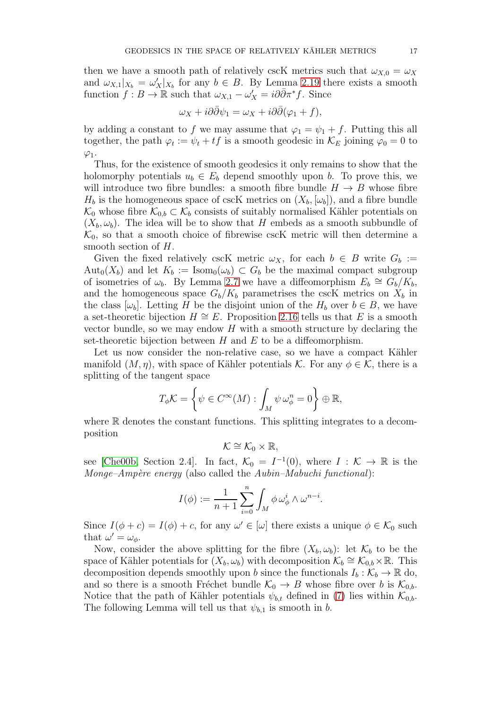then we have a smooth path of relatively cscK metrics such that  $\omega_{X,0} = \omega_X$ and  $\omega_{X,1}|_{X_b} = \omega'_X|_{X_b}$  for any  $b \in B$ . By Lemma [2.19](#page-9-0) there exists a smooth function  $f : B \to \mathbb{R}$  such that  $\omega_{X,1} - \omega'_X = i \partial \overline{\partial} \pi^* f$ . Since

$$
\omega_X + i\partial\bar{\partial}\psi_1 = \omega_X + i\partial\bar{\partial}(\varphi_1 + f),
$$

by adding a constant to f we may assume that  $\varphi_1 = \psi_1 + f$ . Putting this all together, the path  $\varphi_t := \psi_t + tf$  is a smooth geodesic in  $\mathcal{K}_E$  joining  $\varphi_0 = 0$  to  $\varphi_1$ .

Thus, for the existence of smooth geodesics it only remains to show that the holomorphy potentials  $u_b \in E_b$  depend smoothly upon b. To prove this, we will introduce two fibre bundles: a smooth fibre bundle  $H \to B$  whose fibre  $H_b$  is the homogeneous space of cscK metrics on  $(X_b, [\omega_b])$ , and a fibre bundle  $\mathcal{K}_0$  whose fibre  $\mathcal{K}_{0,b} \subset \mathcal{K}_b$  consists of suitably normalised Kähler potentials on  $(X_b, \omega_b)$ . The idea will be to show that H embeds as a smooth subbundle of  $\mathcal{K}_0$ , so that a smooth choice of fibrewise cscK metric will then determine a smooth section of H.

Given the fixed relatively cscK metric  $\omega_X$ , for each  $b \in B$  write  $G_b :=$  $\text{Aut}_0(X_b)$  and let  $K_b := \text{Isom}_0(\omega_b) \subset G_b$  be the maximal compact subgroup of isometries of  $\omega_b$ . By Lemma [2.7](#page-6-0) we have a diffeomorphism  $E_b \cong \tilde{G_b}/\tilde{K_b}$ , and the homogeneous space  $G_b/K_b$  parametrises the cscK metrics on  $X_b$  in the class  $[\omega_b]$ . Letting H be the disjoint union of the  $H_b$  over  $b \in B$ , we have a set-theoretic bijection  $H \cong E$ . Proposition [2.16](#page-8-1) tells us that E is a smooth vector bundle, so we may endow  $H$  with a smooth structure by declaring the set-theoretic bijection between  $H$  and  $E$  to be a diffeomorphism.

Let us now consider the non-relative case, so we have a compact Kähler manifold  $(M, \eta)$ , with space of Kähler potentials K. For any  $\phi \in \mathcal{K}$ , there is a splitting of the tangent space

$$
T_{\phi}\mathcal{K} = \left\{ \psi \in C^{\infty}(M) : \int_M \psi \,\omega_{\phi}^n = 0 \right\} \oplus \mathbb{R},
$$

where  $\mathbb R$  denotes the constant functions. This splitting integrates to a decomposition

$$
\mathcal{K}\cong\mathcal{K}_0\times\mathbb{R},
$$

see [\[Che00b,](#page-37-6) Section 2.4]. In fact,  $\mathcal{K}_0 = I^{-1}(0)$ , where  $I : \mathcal{K} \to \mathbb{R}$  is the Monge–Ampère energy (also called the  $Aubin-Mabuchi$  functional):

$$
I(\phi):=\frac{1}{n+1}\sum_{i=0}^n\int_M\phi\,\omega_\phi^i\wedge\omega^{n-i}.
$$

Since  $I(\phi + c) = I(\phi) + c$ , for any  $\omega' \in [\omega]$  there exists a unique  $\phi \in \mathcal{K}_0$  such that  $\omega' = \omega_{\phi}$ .

Now, consider the above splitting for the fibre  $(X_b, \omega_b)$ : let  $\mathcal{K}_b$  to be the space of Kähler potentials for  $(X_b, \omega_b)$  with decomposition  $\mathcal{K}_b \cong \mathcal{K}_{0,b} \times \mathbb{R}$ . This decomposition depends smoothly upon b since the functionals  $I_b : \mathcal{K}_b \to \mathbb{R}$  do, and so there is a smooth Fréchet bundle  $\mathcal{K}_0 \to B$  whose fibre over b is  $\mathcal{K}_{0,b}$ . Notice that the path of Kähler potentials  $\psi_{b,t}$  defined in [\(7\)](#page-15-0) lies within  $\mathcal{K}_{0,b}$ . The following Lemma will tell us that  $\psi_{b,1}$  is smooth in b.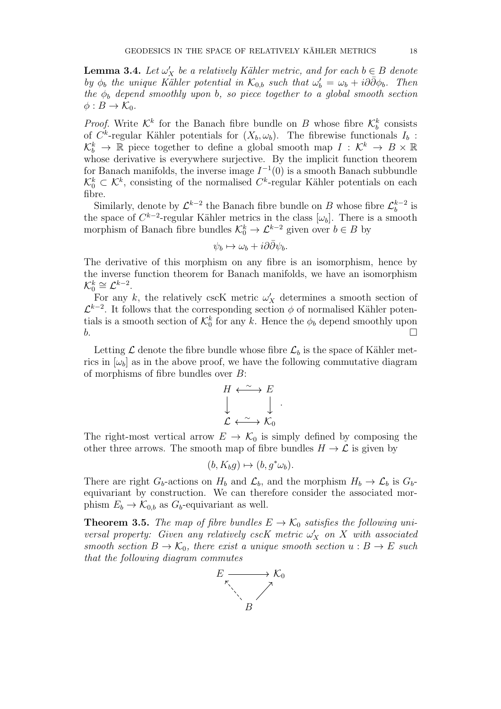**Lemma 3.4.** Let  $\omega'_X$  be a relatively Kähler metric, and for each  $b \in B$  denote by  $\phi_b$  the unique Kähler potential in  $\mathcal{K}_{0,b}$  such that  $\omega'_b = \omega_b + i\partial\bar{\partial}\phi_b$ . Then the  $\phi_b$  depend smoothly upon b, so piece together to a global smooth section  $\phi: B \to \mathcal{K}_0$ .

*Proof.* Write  $\mathcal{K}^k$  for the Banach fibre bundle on B whose fibre  $\mathcal{K}^k_b$  consists of  $C^k$ -regular Kähler potentials for  $(X_b, \omega_b)$ . The fibrewise functionals  $I_b$ :  $\mathcal{K}_b^k$   $\rightarrow \mathbb{R}$  piece together to define a global smooth map  $I : \mathcal{K}^k \rightarrow B \times \mathbb{R}$ whose derivative is everywhere surjective. By the implicit function theorem for Banach manifolds, the inverse image  $I^{-1}(0)$  is a smooth Banach subbundle  $\mathcal{K}_0^k \subset \mathcal{K}^k$ , consisting of the normalised  $C^k$ -regular Kähler potentials on each fibre.

Similarly, denote by  $\mathcal{L}^{k-2}$  the Banach fibre bundle on B whose fibre  $\mathcal{L}_b^{k-2}$  is but the space of  $C^{k-2}$ -regular Kähler metrics in the class  $[\omega_b]$ . There is a smooth morphism of Banach fibre bundles  $\mathcal{K}_0^k \to \mathcal{L}^{k-2}$  given over  $b \in B$  by

$$
\psi_b \mapsto \omega_b + i\partial\bar{\partial}\psi_b.
$$

The derivative of this morphism on any fibre is an isomorphism, hence by the inverse function theorem for Banach manifolds, we have an isomorphism  $\mathcal{K}_0^k \cong \mathcal{L}^{k-2}.$ 

For any k, the relatively cscK metric  $\omega'_X$  determines a smooth section of  $\mathcal{L}^{k-2}$ . It follows that the corresponding section  $\phi$  of normalised Kähler potentials is a smooth section of  $\mathcal{K}_0^k$  for any k. Hence the  $\phi_b$  depend smoothly upon  $\mathbf{b}$ .

Letting  $\mathcal L$  denote the fibre bundle whose fibre  $\mathcal L_b$  is the space of Kähler metrics in  $[\omega_b]$  as in the above proof, we have the following commutative diagram of morphisms of fibre bundles over B:

$$
\begin{array}{ccc}\nH & \stackrel{\sim}{\longleftrightarrow} & E \\
\downarrow & & \downarrow \\
\mathcal{L} & \stackrel{\sim}{\longleftrightarrow} & \mathcal{K}_0\n\end{array}
$$

.

The right-most vertical arrow  $E \to \mathcal{K}_0$  is simply defined by composing the other three arrows. The smooth map of fibre bundles  $H \to \mathcal{L}$  is given by

$$
(b, K_b g) \mapsto (b, g^* \omega_b).
$$

There are right  $G_b$ -actions on  $H_b$  and  $\mathcal{L}_b$ , and the morphism  $H_b \to \mathcal{L}_b$  is  $G_b$ equivariant by construction. We can therefore consider the associated morphism  $E_b \to \mathcal{K}_{0,b}$  as  $G_b$ -equivariant as well.

**Theorem 3.5.** The map of fibre bundles  $E \to \mathcal{K}_0$  satisfies the following universal property: Given any relatively cscK metric  $\omega'_X$  on X with associated smooth section  $B \to \mathcal{K}_0$ , there exist a unique smooth section  $u : B \to E$  such that the following diagram commutes

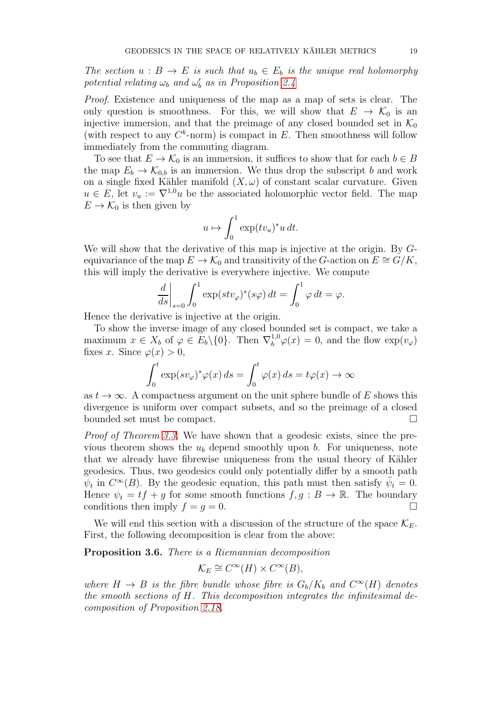The section  $u : B \to E$  is such that  $u_b \in E_b$  is the unique real holomorphy potential relating  $\omega_b$  and  $\omega'_b$  as in Proposition [2.4](#page-5-0)

Proof. Existence and uniqueness of the map as a map of sets is clear. The only question is smoothness. For this, we will show that  $E \to \mathcal{K}_0$  is an injective immersion, and that the preimage of any closed bounded set in  $\mathcal{K}_0$ (with respect to any  $C^k$ -norm) is compact in E. Then smoothness will follow immediately from the commuting diagram.

To see that  $E \to \mathcal{K}_0$  is an immersion, it suffices to show that for each  $b \in B$ the map  $E_b \to \mathcal{K}_{0,b}$  is an immersion. We thus drop the subscript b and work on a single fixed Kähler manifold  $(X, \omega)$  of constant scalar curvature. Given  $u \in E$ , let  $v_u := \nabla^{1,0} u$  be the associated holomorphic vector field. The map  $E \to \mathcal{K}_0$  is then given by

$$
u \mapsto \int_0^1 \exp(t v_u)^* u \, dt.
$$

We will show that the derivative of this map is injective at the origin. By  $G$ equivariance of the map  $E \to \mathcal{K}_0$  and transitivity of the G-action on  $E \cong G/K$ , this will imply the derivative is everywhere injective. We compute

$$
\left. \frac{d}{ds} \right|_{s=0} \int_0^1 \exp(stv_\varphi)^*(s\varphi) \, dt = \int_0^1 \varphi \, dt = \varphi.
$$

Hence the derivative is injective at the origin.

To show the inverse image of any closed bounded set is compact, we take a maximum  $x \in X_b$  of  $\varphi \in E_b \setminus \{0\}$ . Then  $\nabla_b^{1,0} \varphi(x) = 0$ , and the flow  $\exp(v_\varphi)$ fixes x. Since  $\varphi(x) > 0$ ,

$$
\int_0^t \exp(sv_\varphi)^*\varphi(x)\,ds = \int_0^t \varphi(x)\,ds = t\varphi(x) \to \infty
$$

as  $t \to \infty$ . A compactness argument on the unit sphere bundle of E shows this divergence is uniform over compact subsets, and so the preimage of a closed bounded set must be compact.

Proof of Theorem [3.3.](#page-15-1) We have shown that a geodesic exists, since the previous theorem shows the  $u<sub>b</sub>$  depend smoothly upon b. For uniqueness, note that we already have fibrewise uniqueness from the usual theory of Kähler geodesics. Thus, two geodesics could only potentially differ by a smooth path  $\psi_t$  in  $C^{\infty}(B)$ . By the geodesic equation, this path must then satisfy  $\ddot{\psi}_t = 0$ . Hence  $\psi_t = tf + g$  for some smooth functions  $f, g : B \to \mathbb{R}$ . The boundary conditions then imply  $f = g = 0$ .

We will end this section with a discussion of the structure of the space  $\mathcal{K}_{E}$ . First, the following decomposition is clear from the above:

<span id="page-18-0"></span>Proposition 3.6. There is a Riemannian decomposition

$$
\mathcal{K}_E \cong C^{\infty}(H) \times C^{\infty}(B),
$$

where  $H \to B$  is the fibre bundle whose fibre is  $G_b/K_b$  and  $C^{\infty}(H)$  denotes the smooth sections of H. This decomposition integrates the infinitesimal decomposition of Proposition [2.18.](#page-9-1)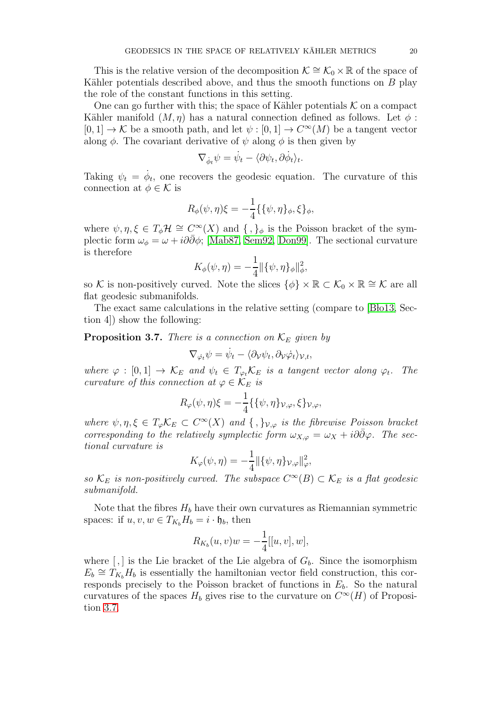This is the relative version of the decomposition  $\mathcal{K} \cong \mathcal{K}_0 \times \mathbb{R}$  of the space of Kähler potentials described above, and thus the smooth functions on  $B$  play the role of the constant functions in this setting.

One can go further with this; the space of Kähler potentials  $K$  on a compact Kähler manifold  $(M, \eta)$  has a natural connection defined as follows. Let  $\phi$ :  $[0,1] \to \mathcal{K}$  be a smooth path, and let  $\psi : [0,1] \to C^{\infty}(M)$  be a tangent vector along  $\phi$ . The covariant derivative of  $\psi$  along  $\phi$  is then given by

$$
\nabla_{\dot{\phi}_t} \psi = \dot{\psi}_t - \langle \partial \psi_t, \partial \dot{\phi}_t \rangle_t.
$$

Taking  $\psi_t = \dot{\phi}_t$ , one recovers the geodesic equation. The curvature of this connection at  $\phi \in \mathcal{K}$  is

$$
R_{\phi}(\psi, \eta)\xi = -\frac{1}{4}\{\{\psi, \eta\}_{\phi}, \xi\}_{\phi},
$$

where  $\psi, \eta, \xi \in T_{\phi} \mathcal{H} \cong C^{\infty}(X)$  and  $\{\, ,\}_\phi$  is the Poisson bracket of the symplectic form  $\omega_{\phi} = \omega + i\partial\bar{\partial}\phi$ ; [\[Mab87,](#page-38-5) [Sem92,](#page-38-6) [Don99\]](#page-37-7). The sectional curvature is therefore

$$
K_{\phi}(\psi, \eta) = -\frac{1}{4} || {\{\psi, \eta\}}_{\phi} ||_{\phi}^{2},
$$

so K is non-positively curved. Note the slices  $\{\phi\} \times \mathbb{R} \subset \mathcal{K}_0 \times \mathbb{R} \cong \mathcal{K}$  are all flat geodesic submanifolds.

The exact same calculations in the relative setting (compare to [Blo13, Section 4]) show the following:

<span id="page-19-0"></span>**Proposition 3.7.** There is a connection on  $\mathcal{K}_E$  given by

$$
\nabla_{\dot{\varphi}_t}\psi=\dot{\psi}_t-\langle\partial_{\mathcal{V}}\psi_t,\partial_{\mathcal{V}}\dot{\varphi}_t\rangle_{\mathcal{V},t},
$$

where  $\varphi : [0,1] \to \mathcal{K}_E$  and  $\psi_t \in T_{\varphi_t} \mathcal{K}_E$  is a tangent vector along  $\varphi_t$ . The curvature of this connection at  $\varphi \in \mathcal{K}_E$  is

$$
R_{\varphi}(\psi,\eta)\xi = -\frac{1}{4}\{\{\psi,\eta\}_{\mathcal{V},\varphi},\xi\}_{\mathcal{V},\varphi},
$$

where  $\psi, \eta, \xi \in T_{\varphi} \mathcal{K}_E \subset C^{\infty}(X)$  and  $\{\, ,\}_{\mathcal{V},\varphi}$  is the fibrewise Poisson bracket corresponding to the relatively symplectic form  $\omega_{X,\varphi} = \omega_X + i\partial\bar{\partial}\varphi$ . The sectional curvature is

$$
K_{\varphi}(\psi,\eta) = -\frac{1}{4} ||\{\psi,\eta\}_{\mathcal{V},\varphi}||_{\varphi}^{2},
$$

so  $\mathcal{K}_E$  is non-positively curved. The subspace  $C^{\infty}(B) \subset \mathcal{K}_E$  is a flat geodesic submanifold.

Note that the fibres  $H_b$  have their own curvatures as Riemannian symmetric spaces: if  $u, v, w \in T_{K_b}H_b = i \cdot \mathfrak{h}_b$ , then

$$
R_{K_b}(u,v)w = -\frac{1}{4}[[u,v],w],
$$

where  $[,]$  is the Lie bracket of the Lie algebra of  $G_b$ . Since the isomorphism  $E_b \cong T_{K_b}H_b$  is essentially the hamiltonian vector field construction, this corresponds precisely to the Poisson bracket of functions in  $E<sub>b</sub>$ . So the natural curvatures of the spaces  $H_b$  gives rise to the curvature on  $C^{\infty}(H)$  of Proposition [3.7.](#page-19-0)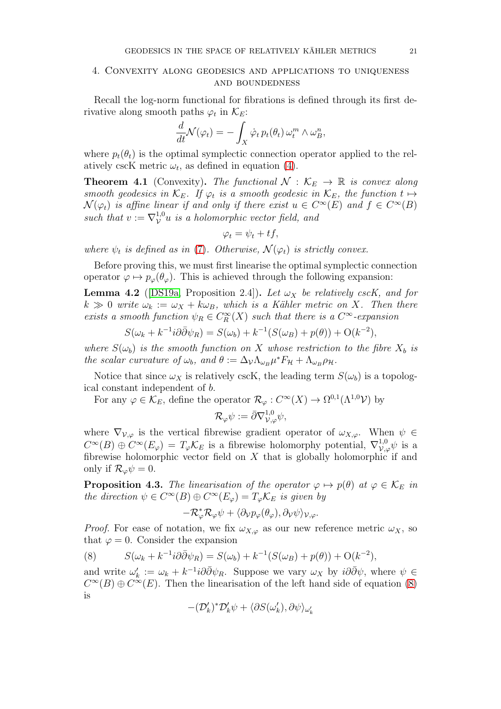## <span id="page-20-0"></span>4. Convexity along geodesics and applications to uniqueness and boundedness

Recall the log-norm functional for fibrations is defined through its first derivative along smooth paths  $\varphi_t$  in  $\mathcal{K}_E$ :

$$
\frac{d}{dt}\mathcal{N}(\varphi_t) = -\int_X \dot{\varphi}_t \, p_t(\theta_t) \, \omega_t^m \wedge \omega_B^n,
$$

where  $p_t(\theta_t)$  is the optimal symplectic connection operator applied to the relatively cscK metric  $\omega_t$ , as defined in equation [\(4\)](#page-10-0).

<span id="page-20-2"></span>**Theorem 4.1** (Convexity). The functional  $\mathcal{N}: \mathcal{K}_E \to \mathbb{R}$  is convex along smooth geodesics in  $\mathcal{K}_E$ . If  $\varphi_t$  is a smooth geodesic in  $\mathcal{K}_E$ , the function  $t \mapsto$  $\mathcal{N}(\varphi_t)$  is affine linear if and only if there exist  $u \in C^{\infty}(E)$  and  $f \in C^{\infty}(B)$ such that  $v := \nabla_V^{1,0} u$  is a holomorphic vector field, and

$$
\varphi_t = \psi_t + tf,
$$

where  $\psi_t$  is defined as in [\(7\)](#page-15-0). Otherwise,  $\mathcal{N}(\varphi_t)$  is strictly convex.

Before proving this, we must first linearise the optimal symplectic connection operator  $\varphi \mapsto p_{\varphi}(\theta_{\varphi})$ . This is achieved through the following expansion:

<span id="page-20-3"></span>**Lemma 4.2** ([\[DS19a,](#page-38-2) Proposition 2.4]). Let  $\omega_X$  be relatively cscK, and for  $k \gg 0$  write  $\omega_k := \omega_X + k \omega_B$ , which is a Kähler metric on X. Then there exists a smooth function  $\psi_R \in C_R^{\infty}(X)$  such that there is a  $C^{\infty}$ -expansion

$$
S(\omega_k + k^{-1}i\partial\bar{\partial}\psi_R) = S(\omega_b) + k^{-1}(S(\omega_B) + p(\theta)) + O(k^{-2}),
$$

where  $S(\omega_b)$  is the smooth function on X whose restriction to the fibre  $X_b$  is the scalar curvature of  $\omega_b$ , and  $\theta := \Delta_{\mathcal{V}} \Lambda_{\omega_B} \mu^* F_{\mathcal{H}} + \Lambda_{\omega_B} \rho_{\mathcal{H}}$ .

Notice that since  $\omega_X$  is relatively cscK, the leading term  $S(\omega_b)$  is a topological constant independent of b.

For any  $\varphi \in \mathcal{K}_E$ , define the operator  $\mathcal{R}_{\varphi}: C^{\infty}(X) \to \Omega^{0,1}(\Lambda^{1,0} \mathcal{V})$  by

$$
\mathcal{R}_{\varphi}\psi:=\bar{\partial}\nabla^{1,0}_{\mathcal{V},\varphi}\psi,
$$

where  $\nabla_{\mathcal{V},\varphi}$  is the vertical fibrewise gradient operator of  $\omega_{X,\varphi}$ . When  $\psi \in$  $C^{\infty}(B) \oplus C^{\infty}(E_{\varphi}) = T_{\varphi} \mathcal{K}_E$  is a fibrewise holomorphy potential,  $\nabla^{1,0}_{\mathcal{V},\varphi}\psi$  is a fibrewise holomorphic vector field on  $X$  that is globally holomorphic if and only if  $\mathcal{R}_{\varphi}\psi=0$ .

**Proposition 4.3.** The linearisation of the operator  $\varphi \mapsto p(\theta)$  at  $\varphi \in \mathcal{K}_E$  in the direction  $\psi \in C^{\infty}(B) \oplus C^{\infty}(E_{\varphi}) = T_{\varphi} \mathcal{K}_E$  is given by

$$
-\mathcal{R}_{\varphi}^*\mathcal{R}_{\varphi}\psi + \langle \partial_{\mathcal{V}}p_{\varphi}(\theta_{\varphi}), \partial_{\mathcal{V}}\psi \rangle_{\mathcal{V},\varphi}.
$$

*Proof.* For ease of notation, we fix  $\omega_{X,\varphi}$  as our new reference metric  $\omega_X$ , so that  $\varphi = 0$ . Consider the expansion

<span id="page-20-1"></span>(8) 
$$
S(\omega_k + k^{-1}i\partial\bar{\partial}\psi_R) = S(\omega_b) + k^{-1}(S(\omega_B) + p(\theta)) + O(k^{-2}),
$$

and write  $\omega'_k := \omega_k + k^{-1} i \partial \bar{\partial} \psi_R$ . Suppose we vary  $\omega_X$  by  $i \partial \bar{\partial} \psi$ , where  $\psi \in$  $C^{\infty}(B) \oplus C^{\infty}(E)$ . Then the linearisation of the left hand side of equation [\(8\)](#page-20-1) is

$$
-(\mathcal{D}'_k)^*\mathcal{D}'_k\psi+\langle\partial S(\omega'_k),\partial\psi\rangle_{\omega'_k}
$$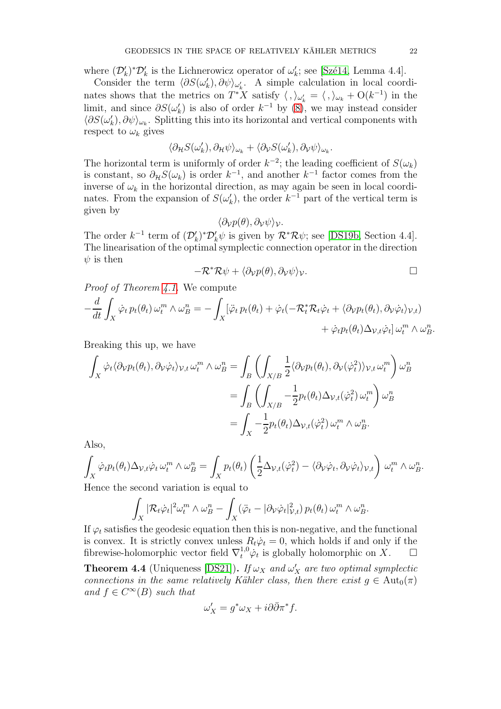where  $(\mathcal{D}'_k)^*\mathcal{D}'_k$  is the Lichnerowicz operator of  $\omega'_k$ ; see [Szé14, Lemma 4.4].

Consider the term  $\langle \partial S(\omega'_k), \partial \psi \rangle_{\omega'_k}$ . A simple calculation in local coordinates shows that the metrics on  $T^*X$  satisfy  $\langle , \rangle_{\omega'_k} = \langle , \rangle_{\omega_k} + O(k^{-1})$  in the limit, and since  $\partial S(\omega'_k)$  is also of order  $k^{-1}$  by  $(8)$ , we may instead consider  $\langle \partial S(\omega_k'), \partial \psi \rangle_{\omega_k}$ . Splitting this into its horizontal and vertical components with respect to  $\omega_k$  gives

$$
\langle \partial_{\mathcal{H}} S(\omega'_k), \partial_{\mathcal{H}} \psi \rangle_{\omega_k} + \langle \partial_{\mathcal{V}} S(\omega'_k), \partial_{\mathcal{V}} \psi \rangle_{\omega_k}.
$$

The horizontal term is uniformly of order  $k^{-2}$ ; the leading coefficient of  $S(\omega_k)$ is constant, so  $\partial_{\mathcal{H}}S(\omega_k)$  is order  $k^{-1}$ , and another  $k^{-1}$  factor comes from the inverse of  $\omega_k$  in the horizontal direction, as may again be seen in local coordinates. From the expansion of  $S(\omega'_k)$ , the order  $k^{-1}$  part of the vertical term is given by

$$
\langle \partial_{\mathcal{V}} p(\theta), \partial_{\mathcal{V}} \psi \rangle_{\mathcal{V}}.
$$

The order  $k^{-1}$  term of  $(\mathcal{D}'_k)^*\mathcal{D}'_k\psi$  is given by  $\mathcal{R}^*\mathcal{R}\psi$ ; see [\[DS19b,](#page-38-1) Section 4.4]. The linearisation of the optimal symplectic connection operator in the direction  $\psi$  is then

$$
-\mathcal{R}^*\mathcal{R}\psi + \langle \partial_\mathcal{V} p(\theta), \partial_\mathcal{V} \psi \rangle_\mathcal{V}.\quad \Box
$$

Proof of Theorem [4.1.](#page-20-2) We compute

$$
-\frac{d}{dt} \int_X \dot{\varphi}_t p_t(\theta_t) \,\omega_t^m \wedge \omega_B^n = -\int_X [\ddot{\varphi}_t p_t(\theta_t) + \dot{\varphi}_t(-\mathcal{R}_t^* \mathcal{R}_t \dot{\varphi}_t + \langle \partial_\mathcal{V} p_t(\theta_t), \partial_\mathcal{V} \dot{\varphi}_t \rangle_{\mathcal{V},t}) + \dot{\varphi}_t p_t(\theta_t) \Delta_{\mathcal{V},t} \dot{\varphi}_t] \,\omega_t^m \wedge \omega_B^n.
$$

Breaking this up, we have

$$
\int_{X} \dot{\varphi}_{t} \langle \partial_{\mathcal{V}} p_{t}(\theta_{t}), \partial_{\mathcal{V}} \dot{\varphi}_{t} \rangle_{\mathcal{V},t} \omega_{t}^{m} \wedge \omega_{B}^{n} = \int_{B} \left( \int_{X/B} \frac{1}{2} \langle \partial_{\mathcal{V}} p_{t}(\theta_{t}), \partial_{\mathcal{V}} (\dot{\varphi}_{t}^{2}) \rangle_{\mathcal{V},t} \omega_{t}^{m} \right) \omega_{B}^{n}
$$
\n
$$
= \int_{B} \left( \int_{X/B} -\frac{1}{2} p_{t}(\theta_{t}) \Delta_{\mathcal{V},t} (\dot{\varphi}_{t}^{2}) \omega_{t}^{m} \right) \omega_{B}^{n}
$$
\n
$$
= \int_{X} -\frac{1}{2} p_{t}(\theta_{t}) \Delta_{\mathcal{V},t} (\dot{\varphi}_{t}^{2}) \omega_{t}^{m} \wedge \omega_{B}^{n}.
$$

Also,

$$
\int_X \dot{\varphi}_t p_t(\theta_t) \Delta_{\mathcal{V},t} \dot{\varphi}_t \,\omega_t^m \wedge \omega_B^n = \int_X p_t(\theta_t) \left(\frac{1}{2} \Delta_{\mathcal{V},t}(\dot{\varphi}_t^2) - \langle \partial_{\mathcal{V}} \dot{\varphi}_t, \partial_{\mathcal{V}} \dot{\varphi}_t \rangle_{\mathcal{V},t}\right) \,\omega_t^m \wedge \omega_B^n.
$$
  
Hence the second variation is equal to

Hence the second variation is equal to

$$
\int_X |\mathcal{R}_t \dot{\varphi}_t|^2 \omega_t^m \wedge \omega_B^n - \int_X (\ddot{\varphi}_t - |\partial_{\mathcal{V}} \dot{\varphi}_t|_{\mathcal{V},t}^2) \, p_t(\theta_t) \, \omega_t^m \wedge \omega_B^n.
$$

If  $\varphi_t$  satisfies the geodesic equation then this is non-negative, and the functional is convex. It is strictly convex unless  $R_t\dot{\varphi}_t = 0$ , which holds if and only if the fibrewise-holomorphic vector field  $\nabla_t^{1,0} \varphi_t$  is globally holomorphic on X.  $\Box$ 

<span id="page-21-0"></span>**Theorem 4.4** (Uniqueness [\[DS21\]](#page-38-3)). If  $\omega_X$  and  $\omega'_X$  are two optimal symplectic connections in the same relatively Kähler class, then there exist  $g \in \text{Aut}_0(\pi)$ and  $f \in C^{\infty}(B)$  such that

$$
\omega'_X = g^* \omega_X + i \partial \bar{\partial} \pi^* f.
$$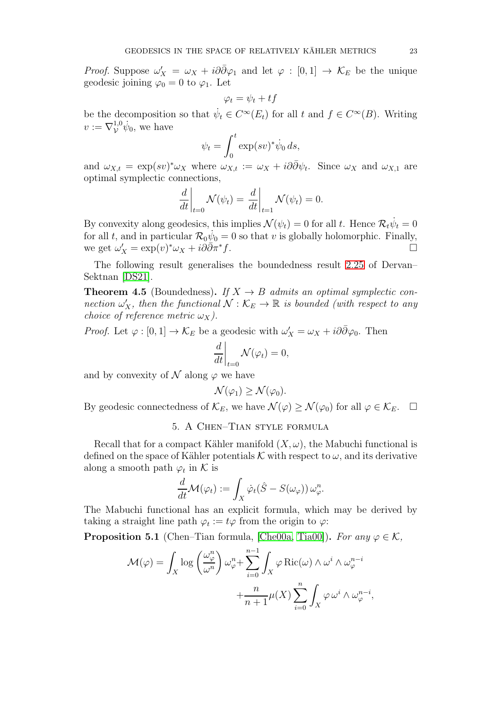*Proof.* Suppose  $\omega'_X = \omega_X + i\partial\bar{\partial}\varphi_1$  and let  $\varphi : [0,1] \to \mathcal{K}_E$  be the unique geodesic joining  $\varphi_0 = 0$  to  $\varphi_1$ . Let

$$
\varphi_t = \psi_t + tf
$$

be the decomposition so that  $\dot{\psi}_t \in C^{\infty}(E_t)$  for all t and  $f \in C^{\infty}(B)$ . Writing  $v := \nabla^{1,0}_{\mathcal{V}} \dot{\psi}_0$ , we have

$$
\psi_t = \int_0^t \exp(sv)^* \dot{\psi}_0 ds,
$$

and  $\omega_{X,t} = \exp(sv)^*\omega_X$  where  $\omega_{X,t} := \omega_X + i\partial\bar{\partial}\psi_t$ . Since  $\omega_X$  and  $\omega_{X,1}$  are optimal symplectic connections,

$$
\left. \frac{d}{dt} \right|_{t=0} \mathcal{N}(\psi_t) = \left. \frac{d}{dt} \right|_{t=1} \mathcal{N}(\psi_t) = 0.
$$

By convexity along geodesics, this implies  $\mathcal{N}(\psi_t) = 0$  for all t. Hence  $\mathcal{R}_t \dot{\psi}_t = 0$ for all t, and in particular  $\mathcal{R}_0 \dot{\psi}_0 = 0$  so that v is globally holomorphic. Finally, we get  $\omega'_X = \exp(v)^* \omega_X + i \partial \bar{\partial} \pi^*$  $f.$ 

The following result generalises the boundedness result [2.25](#page-11-2) of Dervan– Sektnan [\[DS21\]](#page-38-3).

**Theorem 4.5** (Boundedness). If  $X \rightarrow B$  admits an optimal symplectic connection  $\omega'_X$ , then the functional  $\mathcal{N}: \mathcal{K}_E \to \mathbb{R}$  is bounded (with respect to any choice of reference metric  $\omega_X$ ).

*Proof.* Let  $\varphi : [0,1] \to \mathcal{K}_E$  be a geodesic with  $\omega'_X = \omega_X + i\partial \bar{\partial} \varphi_0$ . Then

$$
\left. \frac{d}{dt} \right|_{t=0} \mathcal{N}(\varphi_t) = 0,
$$

and by convexity of  $\mathcal N$  along  $\varphi$  we have

$$
\mathcal{N}(\varphi_1) \ge \mathcal{N}(\varphi_0).
$$

<span id="page-22-0"></span>By geodesic connectedness of  $\mathcal{K}_E$ , we have  $\mathcal{N}(\varphi) \geq \mathcal{N}(\varphi_0)$  for all  $\varphi \in \mathcal{K}_E$ .  $\Box$ 

## 5. A Chen–Tian style formula

Recall that for a compact Kähler manifold  $(X, \omega)$ , the Mabuchi functional is defined on the space of Kähler potentials K with respect to  $\omega$ , and its derivative along a smooth path  $\varphi_t$  in K is

$$
\frac{d}{dt}\mathcal{M}(\varphi_t) := \int_X \dot{\varphi}_t(\hat{S} - S(\omega_{\varphi})) \,\omega_{\varphi}^n.
$$

The Mabuchi functional has an explicit formula, which may be derived by taking a straight line path  $\varphi_t := t\varphi$  from the origin to  $\varphi$ :

<span id="page-22-1"></span>**Proposition 5.1** (Chen–Tian formula, [\[Che00a,](#page-37-14) [Tia00\]](#page-39-4)). For any  $\varphi \in \mathcal{K}$ ,

$$
\mathcal{M}(\varphi) = \int_X \log \left( \frac{\omega_{\varphi}^n}{\omega^n} \right) \omega_{\varphi}^n + \sum_{i=0}^{n-1} \int_X \varphi \operatorname{Ric}(\omega) \wedge \omega^i \wedge \omega_{\varphi}^{n-i} + \frac{n}{n+1} \mu(X) \sum_{i=0}^n \int_X \varphi \, \omega^i \wedge \omega_{\varphi}^{n-i},
$$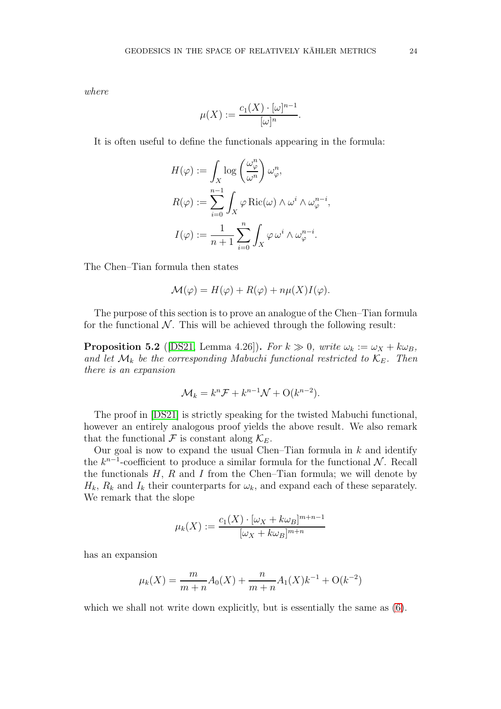where

$$
\mu(X) := \frac{c_1(X) \cdot [\omega]^{n-1}}{[\omega]^n}.
$$

It is often useful to define the functionals appearing in the formula:

$$
H(\varphi) := \int_X \log \left( \frac{\omega_{\varphi}^n}{\omega^n} \right) \omega_{\varphi}^n,
$$
  

$$
R(\varphi) := \sum_{i=0}^{n-1} \int_X \varphi \operatorname{Ric}(\omega) \wedge \omega^i \wedge \omega_{\varphi}^{n-i},
$$
  

$$
I(\varphi) := \frac{1}{n+1} \sum_{i=0}^n \int_X \varphi \omega^i \wedge \omega_{\varphi}^{n-i}.
$$

The Chen–Tian formula then states

$$
\mathcal{M}(\varphi) = H(\varphi) + R(\varphi) + n\mu(X)I(\varphi).
$$

The purpose of this section is to prove an analogue of the Chen–Tian formula for the functional  $\mathcal N$ . This will be achieved through the following result:

<span id="page-23-0"></span>**Proposition 5.2** ([\[DS21,](#page-38-3) Lemma 4.26]). For  $k \gg 0$ , write  $\omega_k := \omega_X + k\omega_B$ , and let  $\mathcal{M}_k$  be the corresponding Mabuchi functional restricted to  $\mathcal{K}_E$ . Then there is an expansion

$$
\mathcal{M}_k = k^n \mathcal{F} + k^{n-1} \mathcal{N} + \mathcal{O}(k^{n-2}).
$$

The proof in [\[DS21\]](#page-38-3) is strictly speaking for the twisted Mabuchi functional, however an entirely analogous proof yields the above result. We also remark that the functional  $\mathcal F$  is constant along  $\mathcal K_E$ .

Our goal is now to expand the usual Chen–Tian formula in  $k$  and identify the  $k^{n-1}$ -coefficient to produce a similar formula for the functional N. Recall the functionals  $H$ ,  $R$  and  $I$  from the Chen–Tian formula; we will denote by  $H_k$ ,  $R_k$  and  $I_k$  their counterparts for  $\omega_k$ , and expand each of these separately. We remark that the slope

$$
\mu_k(X) := \frac{c_1(X) \cdot [\omega_X + k\omega_B]^{m+n-1}}{[\omega_X + k\omega_B]^{m+n}}
$$

has an expansion

$$
\mu_k(X) = \frac{m}{m+n}A_0(X) + \frac{n}{m+n}A_1(X)k^{-1} + O(k^{-2})
$$

which we shall not write down explicitly, but is essentially the same as  $(6)$ .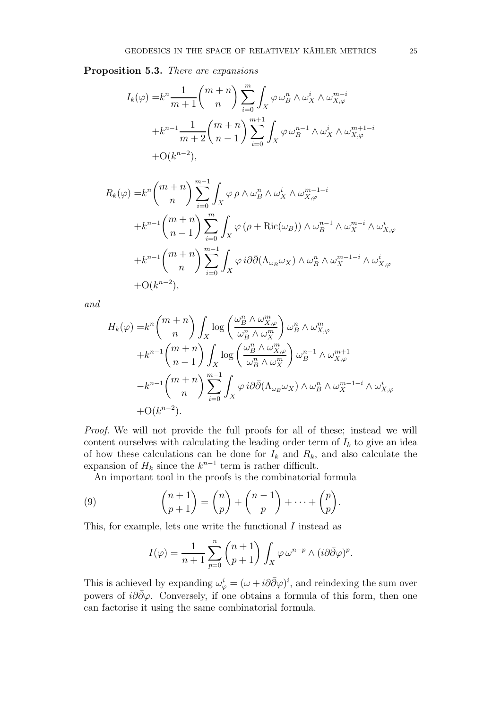Proposition 5.3. There are expansions

$$
I_k(\varphi) = k^n \frac{1}{m+1} {m+n \choose n} \sum_{i=0}^m \int_X \varphi \,\omega_B^n \wedge \omega_X^i \wedge \omega_{X,\varphi}^{m-i}
$$
  
+ 
$$
k^{n-1} \frac{1}{m+2} {m+n \choose n-1} \sum_{i=0}^{m+1} \int_X \varphi \,\omega_B^{n-1} \wedge \omega_X^i \wedge \omega_{X,\varphi}^{m+1-i}
$$
  
+ O(k^{n-2}),

$$
R_k(\varphi) = k^n {m+n \choose n} \sum_{i=0}^{m-1} \int_X \varphi \rho \wedge \omega_B^n \wedge \omega_X^i \wedge \omega_{X,\varphi}^{m-1-i}
$$
  
+ 
$$
k^{n-1} {m+n \choose n-1} \sum_{i=0}^m \int_X \varphi (\rho + \text{Ric}(\omega_B)) \wedge \omega_B^{n-1} \wedge \omega_X^{m-i} \wedge \omega_{X,\varphi}^i
$$
  
+ 
$$
k^{n-1} {m+n \choose n} \sum_{i=0}^{m-1} \int_X \varphi i \partial \overline{\partial}(\Lambda_{\omega_B} \omega_X) \wedge \omega_B^n \wedge \omega_X^{m-1-i} \wedge \omega_{X,\varphi}^i
$$
  
+ 
$$
O(k^{n-2}),
$$

and

$$
H_k(\varphi) = k^n {m+n \choose n} \int_X \log \left( \frac{\omega_B^n \wedge \omega_{X,\varphi}^m}{\omega_B^n \wedge \omega_X^m} \right) \omega_B^n \wedge \omega_{X,\varphi}^m
$$
  
+ 
$$
k^{n-1} {m+n \choose n-1} \int_X \log \left( \frac{\omega_B^n \wedge \omega_{X,\varphi}^m}{\omega_B^n \wedge \omega_X^m} \right) \omega_B^{n-1} \wedge \omega_{X,\varphi}^{m+1}
$$
  
- 
$$
k^{n-1} {m+n \choose n} \sum_{i=0}^{m-1} \int_X \varphi \, i \partial \overline{\partial} (\Lambda_{\omega_B} \omega_X) \wedge \omega_B^n \wedge \omega_X^{m-1-i} \wedge \omega_{X,\varphi}^i
$$
  
+ O(k^{n-2}).

Proof. We will not provide the full proofs for all of these; instead we will content ourselves with calculating the leading order term of  $I_k$  to give an idea of how these calculations can be done for  $I_k$  and  $R_k$ , and also calculate the expansion of  $H_k$  since the  $k^{n-1}$  term is rather difficult.

.

An important tool in the proofs is the combinatorial formula

(9) 
$$
\binom{n+1}{p+1} = \binom{n}{p} + \binom{n-1}{p} + \dots + \binom{p}{p}
$$

This, for example, lets one write the functional I instead as

<span id="page-24-0"></span>
$$
I(\varphi) = \frac{1}{n+1} \sum_{p=0}^{n} {n+1 \choose p+1} \int_X \varphi \,\omega^{n-p} \wedge (i \partial \bar{\partial} \varphi)^p.
$$

This is achieved by expanding  $\omega_{\varphi}^i = (\omega + i\partial\bar{\partial}\varphi)^i$ , and reindexing the sum over powers of  $i\partial\bar{\partial}\varphi$ . Conversely, if one obtains a formula of this form, then one can factorise it using the same combinatorial formula.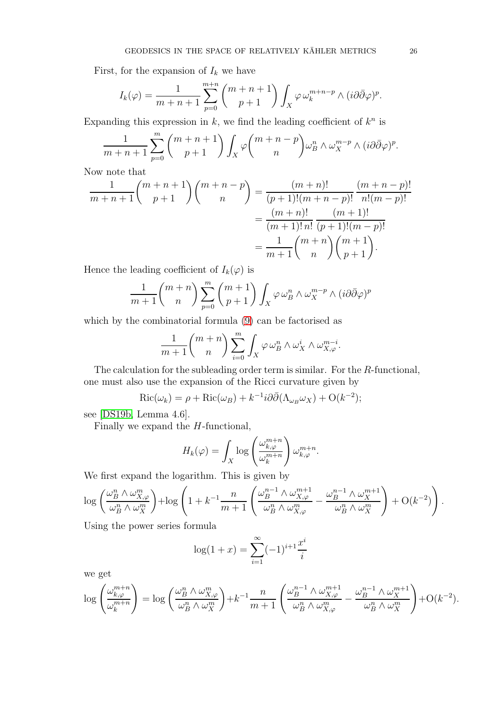First, for the expansion of  $I_k$  we have

$$
I_k(\varphi) = \frac{1}{m+n+1} \sum_{p=0}^{m+n} \binom{m+n+1}{p+1} \int_X \varphi \,\omega_k^{m+n-p} \wedge (i \partial \overline{\partial} \varphi)^p.
$$

Expanding this expression in  $k$ , we find the leading coefficient of  $k^n$  is

$$
\frac{1}{m+n+1} \sum_{p=0}^{m} {m+n+1 \choose p+1} \int_X \varphi {m+n-p \choose n} \omega_B^n \wedge \omega_X^{m-p} \wedge (i \partial \overline{\partial} \varphi)^p.
$$

Now note that

$$
\frac{1}{m+n+1} {m+n+1 \choose p+1} {m+n-p \choose n} = \frac{(m+n)!}{(p+1)!(m+n-p)!} \frac{(m+n-p)!}{n!(m-p)!}
$$

$$
= \frac{(m+n)!}{(m+1)!n!} \frac{(m+1)!}{(p+1)!(m-p)!}
$$

$$
= \frac{1}{m+1} {m+n \choose n} {m+1 \choose p+1}.
$$

Hence the leading coefficient of  $I_k(\varphi)$  is

$$
\frac{1}{m+1} {m+n \choose n} \sum_{p=0}^{m} {m+1 \choose p+1} \int_X \varphi \,\omega_B^n \wedge \omega_X^{m-p} \wedge (i \partial \bar{\partial} \varphi)^p
$$

which by the combinatorial formula [\(9\)](#page-24-0) can be factorised as

$$
\frac{1}{m+1}\binom{m+n}{n}\sum_{i=0}^m \int_X \varphi \,\omega_B^n \wedge \omega_X^i \wedge \omega_{X,\varphi}^{m-i}.
$$

The calculation for the subleading order term is similar. For the R-functional, one must also use the expansion of the Ricci curvature given by

$$
Ric(\omega_k) = \rho + Ric(\omega_B) + k^{-1}i\partial\bar{\partial}(\Lambda_{\omega_B}\omega_X) + O(k^{-2});
$$

see [\[DS19b,](#page-38-1) Lemma 4.6].

Finally we expand the  $H$ -functional,

$$
H_k(\varphi) = \int_X \log \left( \frac{\omega_{k,\varphi}^{m+n}}{\omega_k^{m+n}} \right) \omega_{k,\varphi}^{m+n}.
$$

We first expand the logarithm. This is given by

$$
\log\left(\frac{\omega_B^n\wedge\omega_{X,\varphi}^m}{\omega_B^n\wedge\omega_X^m}\right)+\log\left(1+k^{-1}\frac{n}{m+1}\left(\frac{\omega_B^{n-1}\wedge\omega_{X,\varphi}^{m+1}}{\omega_B^n\wedge\omega_{X,\varphi}^m}-\frac{\omega_B^{n-1}\wedge\omega_X^{m+1}}{\omega_B^n\wedge\omega_X^m}\right)+\mathcal{O}(k^{-2})\right).
$$

Using the power series formula

$$
\log(1+x) = \sum_{i=1}^{\infty} (-1)^{i+1} \frac{x^i}{i}
$$

we get

$$
\log\left(\frac{\omega_{k,\varphi}^{m+n}}{\omega_k^{m+n}}\right) = \log\left(\frac{\omega_B^n \wedge \omega_{X,\varphi}^m}{\omega_B^n \wedge \omega_X^m}\right) + k^{-1} \frac{n}{m+1} \left(\frac{\omega_B^{n-1} \wedge \omega_{X,\varphi}^{m+1}}{\omega_B^n \wedge \omega_{X,\varphi}^m} - \frac{\omega_B^{n-1} \wedge \omega_X^{m+1}}{\omega_B^n \wedge \omega_X^m}\right) + O(k^{-2}).
$$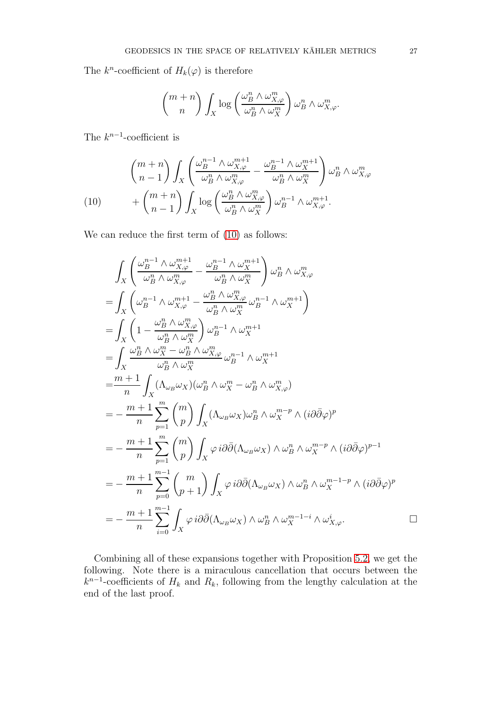The  $k^n$ -coefficient of  $H_k(\varphi)$  is therefore

$$
\binom{m+n}{n}\int_X \log\left(\frac{\omega_B^n \wedge \omega_{X,\varphi}^m}{\omega_B^n \wedge \omega_X^m}\right) \omega_B^n \wedge \omega_{X,\varphi}^m.
$$

The  $k^{n-1}$ -coefficient is

<span id="page-26-0"></span>
$$
\begin{aligned}\n\binom{m+n}{n-1} & \int_X \left( \frac{\omega_B^{n-1} \wedge \omega_{X,\varphi}^{m+1}}{\omega_B^n \wedge \omega_{X,\varphi}^m} - \frac{\omega_B^{n-1} \wedge \omega_X^{m+1}}{\omega_B^n \wedge \omega_X^m} \right) \omega_B^n \wedge \omega_{X,\varphi}^m \\
& + \binom{m+n}{n-1} & \int_X \log \left( \frac{\omega_B^n \wedge \omega_{X,\varphi}^m}{\omega_B^n \wedge \omega_X^m} \right) \omega_B^{n-1} \wedge \omega_{X,\varphi}^{m+1}.\n\end{aligned}
$$

We can reduce the first term of  $(10)$  as follows:

$$
\begin{split}\n&\int_{X} \left( \frac{\omega_{B}^{n-1} \wedge \omega_{X,\varphi}^{m+1}}{\omega_{B}^{n} \wedge \omega_{X,\varphi}^{m}} - \frac{\omega_{B}^{n-1} \wedge \omega_{X}^{m+1}}{\omega_{B}^{n} \wedge \omega_{X}^{m}} \right) \omega_{B}^{n} \wedge \omega_{X,\varphi}^{m} \\
&= \int_{X} \left( \omega_{B}^{n-1} \wedge \omega_{X,\varphi}^{m+1} - \frac{\omega_{B}^{n} \wedge \omega_{X,\varphi}^{m}}{\omega_{B}^{n} \wedge \omega_{X}^{m}} \omega_{B}^{n-1} \wedge \omega_{X}^{m+1} \right) \\
&= \int_{X} \left( 1 - \frac{\omega_{B}^{n} \wedge \omega_{X,\varphi}^{m}}{\omega_{B}^{n} \wedge \omega_{X}^{m}} \right) \omega_{B}^{n-1} \wedge \omega_{X}^{m+1} \\
&= \int_{X} \frac{\omega_{B}^{n} \wedge \omega_{X}^{m} - \omega_{B}^{n} \wedge \omega_{X,\varphi}^{m}}{\omega_{B}^{n} \wedge \omega_{X}^{m}} \omega_{B}^{n-1} \wedge \omega_{X}^{m+1} \\
&= \frac{m+1}{n} \int_{X} (\Lambda_{\omega_{B}} \omega_{X}) (\omega_{B}^{n} \wedge \omega_{X}^{m} - \omega_{B}^{n} \wedge \omega_{X,\varphi}^{m}) \\
&= -\frac{m+1}{n} \sum_{p=1}^{m} \binom{m}{p} \int_{X} (\Lambda_{\omega_{B}} \omega_{X}) \omega_{B}^{n} \wedge \omega_{X}^{m-p} \wedge (i \partial \bar{\partial} \varphi)^{p} \\
&= -\frac{m+1}{n} \sum_{p=1}^{m} \binom{m}{p} \int_{X} \varphi \, i \partial \bar{\partial} (\Lambda_{\omega_{B}} \omega_{X}) \wedge \omega_{B}^{n} \wedge \omega_{X}^{m-p} \wedge (i \partial \bar{\partial} \varphi)^{p-1} \\
&= -\frac{m+1}{n} \sum_{p=0}^{m-1} \binom{m}{p+1} \int_{X} \varphi \, i \partial \bar{\partial} (\Lambda_{\omega_{B}} \omega_{X}) \wedge \omega_{B}^{
$$

Combining all of these expansions together with Proposition [5.2,](#page-23-0) we get the following. Note there is a miraculous cancellation that occurs between the  $k^{n-1}$ -coefficients of  $H_k$  and  $R_k$ , following from the lengthy calculation at the end of the last proof.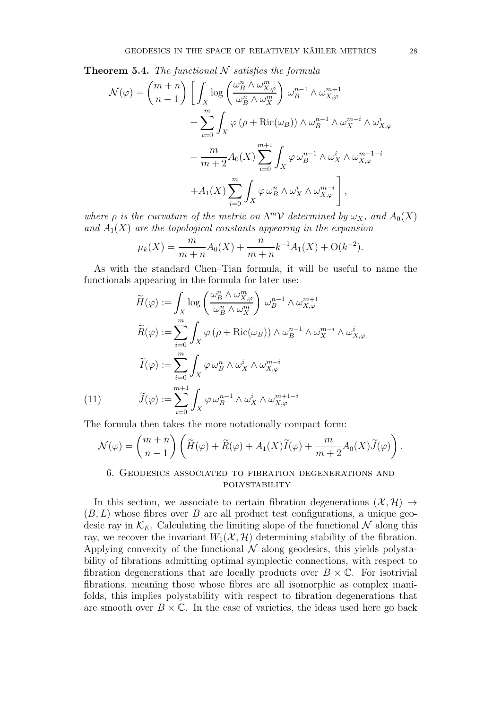<span id="page-27-1"></span>**Theorem 5.4.** The functional  $N$  satisfies the formula

$$
\mathcal{N}(\varphi) = {m+n \choose n-1} \left[ \int_X \log \left( \frac{\omega_B^n \wedge \omega_{X,\varphi}^m}{\omega_B^n \wedge \omega_X^m} \right) \omega_B^{n-1} \wedge \omega_{X,\varphi}^{m+1} \right. \\
\left. + \sum_{i=0}^m \int_X \varphi \left( \rho + \text{Ric}(\omega_B) \right) \wedge \omega_B^{n-1} \wedge \omega_X^{m-i} \wedge \omega_{X,\varphi}^i \\
\left. + \frac{m}{m+2} A_0(X) \sum_{i=0}^{m+1} \int_X \varphi \omega_B^{n-1} \wedge \omega_X^i \wedge \omega_{X,\varphi}^{m+1-i} \right. \\
\left. + A_1(X) \sum_{i=0}^m \int_X \varphi \omega_B^n \wedge \omega_X^i \wedge \omega_{X,\varphi}^{m-i} \right],
$$

where  $\rho$  is the curvature of the metric on  $\Lambda^m \mathcal{V}$  determined by  $\omega_X$ , and  $A_0(X)$ and  $A_1(X)$  are the topological constants appearing in the expansion

$$
\mu_k(X) = \frac{m}{m+n}A_0(X) + \frac{n}{m+n}k^{-1}A_1(X) + O(k^{-2}).
$$

As with the standard Chen–Tian formula, it will be useful to name the functionals appearing in the formula for later use:

$$
\widetilde{H}(\varphi) := \int_X \log \left( \frac{\omega_B^n \wedge \omega_{X,\varphi}^m}{\omega_B^n \wedge \omega_X^m} \right) \omega_B^{n-1} \wedge \omega_{X,\varphi}^{m+1}
$$
\n
$$
\widetilde{R}(\varphi) := \sum_{i=0}^m \int_X \varphi \left( \rho + \text{Ric}(\omega_B) \right) \wedge \omega_B^{n-1} \wedge \omega_X^{m-i} \wedge \omega_{X,\varphi}^i
$$
\n
$$
\widetilde{I}(\varphi) := \sum_{i=0}^m \int_X \varphi \omega_B^n \wedge \omega_X^i \wedge \omega_{X,\varphi}^{m-i}
$$
\n(11)\n
$$
\widetilde{J}(\varphi) := \sum_{i=0}^{m+1} \int_X \varphi \omega_B^{n-1} \wedge \omega_X^i \wedge \omega_{X,\varphi}^{m+1-i}
$$

<span id="page-27-2"></span>The formula then takes the more notationally compact form:

$$
\mathcal{N}(\varphi) = {m+n \choose n-1} \left( \widetilde{H}(\varphi) + \widetilde{R}(\varphi) + A_1(X)\widetilde{I}(\varphi) + \frac{m}{m+2} A_0(X)\widetilde{J}(\varphi) \right).
$$

## <span id="page-27-0"></span>6. Geodesics associated to fibration degenerations and polystability

In this section, we associate to certain fibration degenerations  $(\mathcal{X}, \mathcal{H}) \rightarrow$  $(B, L)$  whose fibres over B are all product test configurations, a unique geodesic ray in  $\mathcal{K}_E$ . Calculating the limiting slope of the functional N along this ray, we recover the invariant  $W_1(\mathcal{X}, \mathcal{H})$  determining stability of the fibration. Applying convexity of the functional  $\mathcal N$  along geodesics, this yields polystability of fibrations admitting optimal symplectic connections, with respect to fibration degenerations that are locally products over  $B \times \mathbb{C}$ . For isotrivial fibrations, meaning those whose fibres are all isomorphic as complex manifolds, this implies polystability with respect to fibration degenerations that are smooth over  $B \times \mathbb{C}$ . In the case of varieties, the ideas used here go back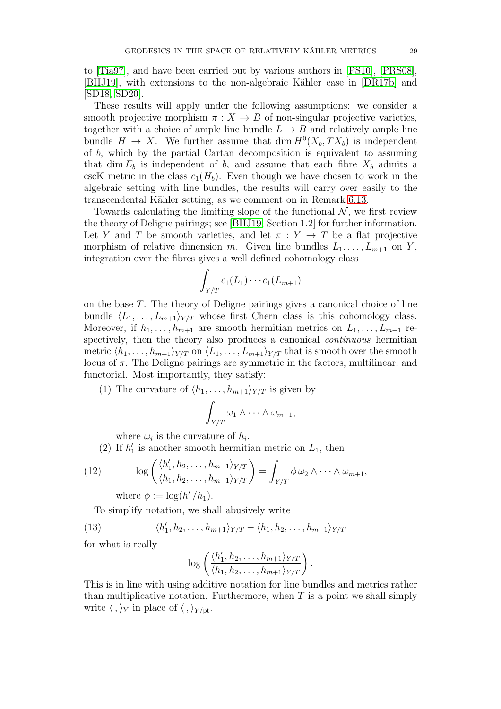to [\[Tia97\]](#page-39-2), and have been carried out by various authors in [\[PS10\]](#page-38-16), [\[PRS08\]](#page-38-17), [\[BHJ19\]](#page-37-8), with extensions to the non-algebraic Kähler case in [\[DR17b\]](#page-38-18) and [\[SD18,](#page-38-8) [SD20\]](#page-38-19).

These results will apply under the following assumptions: we consider a smooth projective morphism  $\pi : X \to B$  of non-singular projective varieties, together with a choice of ample line bundle  $L \rightarrow B$  and relatively ample line bundle  $H \to X$ . We further assume that dim  $H^0(X_b, TX_b)$  is independent of b, which by the partial Cartan decomposition is equivalent to assuming that dim  $E_b$  is independent of b, and assume that each fibre  $X_b$  admits a cscK metric in the class  $c_1(H_b)$ . Even though we have chosen to work in the algebraic setting with line bundles, the results will carry over easily to the transcendental Kähler setting, as we comment on in Remark [6.13.](#page-35-1)

Towards calculating the limiting slope of the functional  $\mathcal{N}$ , we first review the theory of Deligne pairings; see [\[BHJ19,](#page-37-8) Section 1.2] for further information. Let Y and T be smooth varieties, and let  $\pi : Y \to T$  be a flat projective morphism of relative dimension m. Given line bundles  $L_1, \ldots, L_{m+1}$  on Y, integration over the fibres gives a well-defined cohomology class

$$
\int_{Y/T} c_1(L_1) \cdots c_1(L_{m+1})
$$

on the base T. The theory of Deligne pairings gives a canonical choice of line bundle  $\langle L_1, \ldots, L_{m+1} \rangle_{Y/T}$  whose first Chern class is this cohomology class. Moreover, if  $h_1, \ldots, h_{m+1}$  are smooth hermitian metrics on  $L_1, \ldots, L_{m+1}$  respectively, then the theory also produces a canonical *continuous* hermitian metric  $\langle h_1, \ldots, h_{m+1} \rangle_{Y/T}$  on  $\langle L_1, \ldots, L_{m+1} \rangle_{Y/T}$  that is smooth over the smooth locus of  $\pi$ . The Deligne pairings are symmetric in the factors, multilinear, and functorial. Most importantly, they satisfy:

(1) The curvature of  $\langle h_1, \ldots, h_{m+1} \rangle_{Y/T}$  is given by

$$
\int_{Y/T} \omega_1 \wedge \cdots \wedge \omega_{m+1},
$$

where  $\omega_i$  is the curvature of  $h_i$ .

(2) If  $h'_1$  is another smooth hermitian metric on  $L_1$ , then

(12) 
$$
\log\left(\frac{\langle h'_1, h_2, \dots, h_{m+1}\rangle_{Y/T}}{\langle h_1, h_2, \dots, h_{m+1}\rangle_{Y/T}}\right) = \int_{Y/T} \phi \,\omega_2 \wedge \dots \wedge \omega_{m+1},
$$

<span id="page-28-0"></span>where  $\phi := \log(h'_1/h_1)$ .

To simplify notation, we shall abusively write

(13) 
$$
\langle h'_1, h_2, \ldots, h_{m+1} \rangle_{Y/T} - \langle h_1, h_2, \ldots, h_{m+1} \rangle_{Y/T}
$$

for what is really

<span id="page-28-1"></span>
$$
\log\left(\frac{\langle h'_1, h_2, \ldots, h_{m+1} \rangle_{Y/T}}{\langle h_1, h_2, \ldots, h_{m+1} \rangle_{Y/T}}\right)
$$

.

This is in line with using additive notation for line bundles and metrics rather than multiplicative notation. Furthermore, when  $T$  is a point we shall simply write  $\langle , \rangle_Y$  in place of  $\langle , \rangle_{Y / pt}$ .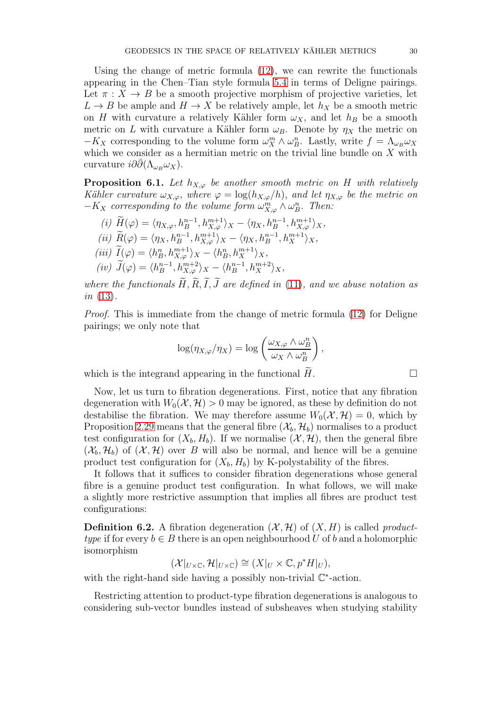Using the change of metric formula [\(12\)](#page-28-0), we can rewrite the functionals appearing in the Chen–Tian style formula [5.4](#page-27-1) in terms of Deligne pairings. Let  $\pi : X \to B$  be a smooth projective morphism of projective varieties, let  $L \to B$  be ample and  $H \to X$  be relatively ample, let  $h_X$  be a smooth metric on H with curvature a relatively Kähler form  $\omega_X$ , and let  $h_B$  be a smooth metric on L with curvature a Kähler form  $\omega_B$ . Denote by  $\eta_X$  the metric on  $-K_X$  corresponding to the volume form  $\omega_X^m \wedge \omega_B^n$ . Lastly, write  $f = \Lambda_{\omega_B} \omega_X$ which we consider as a hermitian metric on the trivial line bundle on  $X$  with curvature  $i\partial\bar{\partial}(\Lambda_{\omega_B}\omega_X)$ .

<span id="page-29-0"></span>**Proposition 6.1.** Let  $h_{X,\varphi}$  be another smooth metric on H with relatively Kähler curvature  $\omega_{X,\varphi}$ , where  $\varphi = \log(h_{X,\varphi}/h)$ , and let  $\eta_{X,\varphi}$  be the metric on  $-K_X$  corresponding to the volume form  $\omega_{X,\varphi}^m \wedge \omega_B^n$ . Then:

$$
(i) \widetilde{H}(\varphi) = \langle \eta_{X,\varphi}, h_B^{n-1}, h_{X,\varphi}^{m+1} \rangle_X - \langle \eta_X, h_B^{n-1}, h_{X,\varphi}^{m+1} \rangle_X,
$$
  
\n
$$
(ii) \widetilde{R}(\varphi) = \langle \eta_X, h_B^{n-1}, h_{X,\varphi}^{m+1} \rangle_X - \langle \eta_X, h_B^{n-1}, h_X^{m+1} \rangle_X,
$$
  
\n
$$
(iii) \widetilde{I}(\varphi) = \langle h_B^n, h_{X,\varphi}^{m+1} \rangle_X - \langle h_B^n, h_X^{m+1} \rangle_X,
$$
  
\n
$$
(iv) \widetilde{J}(\varphi) = \langle h_B^{n-1}, h_{X,\varphi}^{m+2} \rangle_X - \langle h_B^{n-1}, h_X^{m+2} \rangle_X,
$$

where the functionals  $\widetilde{H}, \widetilde{R}, \widetilde{I}, \widetilde{J}$  are defined in [\(11\)](#page-27-2), and we abuse notation as  $in (13)$  $in (13)$ .

Proof. This is immediate from the change of metric formula [\(12\)](#page-28-0) for Deligne pairings; we only note that

$$
\log(\eta_{X,\varphi}/\eta_X) = \log\left(\frac{\omega_{X,\varphi} \wedge \omega_B^n}{\omega_X \wedge \omega_B^n}\right),\,
$$

which is the integrand appearing in the functional  $H$ .

Now, let us turn to fibration degenerations. First, notice that any fibration degeneration with  $W_0(\mathcal{X}, \mathcal{H}) > 0$  may be ignored, as these by definition do not destabilise the fibration. We may therefore assume  $W_0(\mathcal{X}, \mathcal{H}) = 0$ , which by Proposition [2.29](#page-13-1) means that the general fibre  $(\mathcal{X}_b, \mathcal{H}_b)$  normalises to a product test configuration for  $(X_b, H_b)$ . If we normalise  $(X, \mathcal{H})$ , then the general fibre  $(\mathcal{X}_b, \mathcal{H}_b)$  of  $(\mathcal{X}, \mathcal{H})$  over B will also be normal, and hence will be a genuine product test configuration for  $(X_b, H_b)$  by K-polystability of the fibres.

It follows that it suffices to consider fibration degenerations whose general fibre is a genuine product test configuration. In what follows, we will make a slightly more restrictive assumption that implies all fibres are product test configurations:

**Definition 6.2.** A fibration degeneration  $(\mathcal{X}, \mathcal{H})$  of  $(X, H)$  is called producttype if for every  $b \in B$  there is an open neighbourhood U of b and a holomorphic isomorphism

$$
(\mathcal{X}|_{U\times\mathbb{C}},\mathcal{H}|_{U\times\mathbb{C}})\cong(X|_U\times\mathbb{C},p^*H|_U),
$$

with the right-hand side having a possibly non-trivial  $\mathbb{C}^*$ -action.

Restricting attention to product-type fibration degenerations is analogous to considering sub-vector bundles instead of subsheaves when studying stability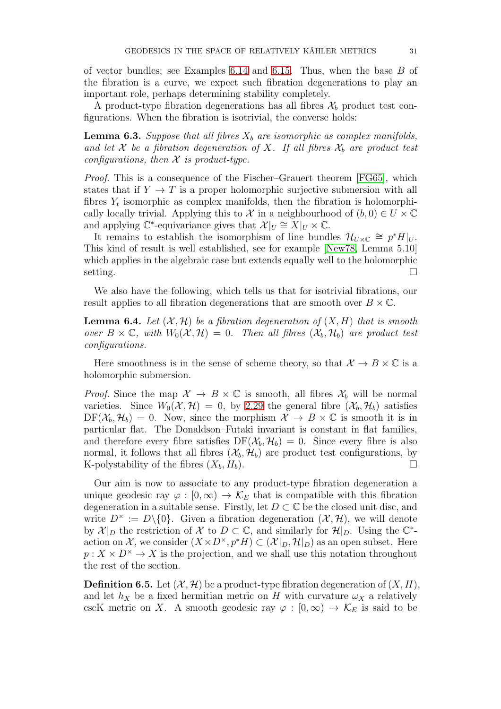of vector bundles; see Examples  $6.14$  and  $6.15$ . Thus, when the base  $B$  of the fibration is a curve, we expect such fibration degenerations to play an important role, perhaps determining stability completely.

A product-type fibration degenerations has all fibres  $\mathcal{X}_b$  product test configurations. When the fibration is isotrivial, the converse holds:

<span id="page-30-0"></span>**Lemma 6.3.** Suppose that all fibres  $X_b$  are isomorphic as complex manifolds, and let X be a fibration degeneration of X. If all fibres  $\mathcal{X}_b$  are product test configurations, then  $\mathcal X$  is product-type.

Proof. This is a consequence of the Fischer–Grauert theorem [\[FG65\]](#page-38-20), which states that if  $Y \to T$  is a proper holomorphic surjective submersion with all fibres  $Y_t$  isomorphic as complex manifolds, then the fibration is holomorphically locally trivial. Applying this to X in a neighbourhood of  $(b, 0) \in U \times \mathbb{C}$ and applying  $\mathbb{C}^*$ -equivariance gives that  $\mathcal{X}|_U \cong X|_U \times \mathbb{C}$ .

It remains to establish the isomorphism of line bundles  $\mathcal{H}_{U\times\mathbb{C}}\cong p^*H|_U$ . This kind of result is well established, see for example [\[New78,](#page-38-21) Lemma 5.10] which applies in the algebraic case but extends equally well to the holomorphic  $\overline{\phantom{a}}$  setting.

We also have the following, which tells us that for isotrivial fibrations, our result applies to all fibration degenerations that are smooth over  $B \times \mathbb{C}$ .

<span id="page-30-1"></span>**Lemma 6.4.** Let  $(X, \mathcal{H})$  be a fibration degeneration of  $(X, H)$  that is smooth over  $B \times \mathbb{C}$ , with  $W_0(\mathcal{X}, \mathcal{H}) = 0$ . Then all fibres  $(\mathcal{X}_b, \mathcal{H}_b)$  are product test configurations.

Here smoothness is in the sense of scheme theory, so that  $\mathcal{X} \to B \times \mathbb{C}$  is a holomorphic submersion.

*Proof.* Since the map  $\mathcal{X} \to B \times \mathbb{C}$  is smooth, all fibres  $\mathcal{X}_b$  will be normal varieties. Since  $W_0(\mathcal{X}, \mathcal{H}) = 0$ , by [2.29](#page-13-1) the general fibre  $(\mathcal{X}_b, \mathcal{H}_b)$  satisfies  $DF(\mathcal{X}_b, \mathcal{H}_b) = 0$ . Now, since the morphism  $\mathcal{X} \to B \times \mathbb{C}$  is smooth it is in particular flat. The Donaldson–Futaki invariant is constant in flat families, and therefore every fibre satisfies  $DF(\mathcal{X}_b, \mathcal{H}_b) = 0$ . Since every fibre is also normal, it follows that all fibres  $(\mathcal{X}_b, \mathcal{H}_b)$  are product test configurations, by K-polystability of the fibres  $(X_b, H_b)$ .

Our aim is now to associate to any product-type fibration degeneration a unique geodesic ray  $\varphi : [0, \infty) \to \mathcal{K}_E$  that is compatible with this fibration degeneration in a suitable sense. Firstly, let  $D \subset \mathbb{C}$  be the closed unit disc, and write  $D^{\times} := D \setminus \{0\}$ . Given a fibration degeneration  $(\mathcal{X}, \mathcal{H})$ , we will denote by  $\mathcal{X}|_D$  the restriction of X to  $D \subset \mathbb{C}$ , and similarly for  $\mathcal{H}|_D$ . Using the  $\mathbb{C}^*$ action on X, we consider  $(X \times D^{\times}, p^*H) \subset (X|_D, \mathcal{H}|_D)$  as an open subset. Here  $p: X \times D^{\times} \to X$  is the projection, and we shall use this notation throughout the rest of the section.

**Definition 6.5.** Let  $(\mathcal{X}, \mathcal{H})$  be a product-type fibration degeneration of  $(X, H)$ , and let  $h_X$  be a fixed hermitian metric on H with curvature  $\omega_X$  a relatively cscK metric on X. A smooth geodesic ray  $\varphi : [0, \infty) \to \mathcal{K}_E$  is said to be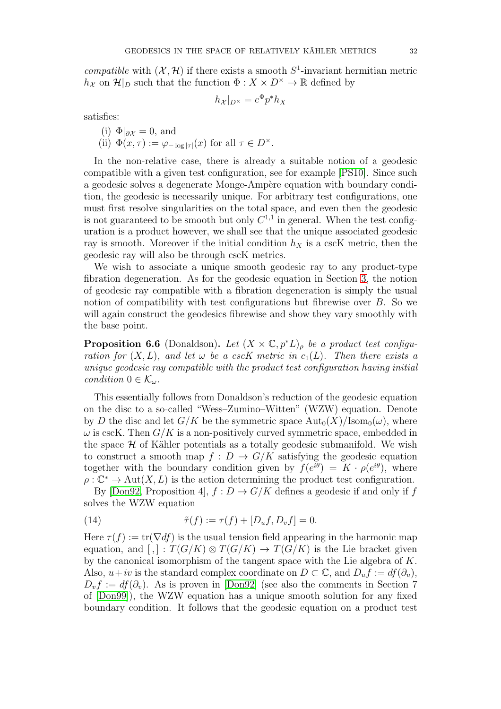compatible with  $(X, \mathcal{H})$  if there exists a smooth  $S^1$ -invariant hermitian metric  $h_X$  on  $\mathcal{H}|_D$  such that the function  $\Phi: X \times D^{\times} \to \mathbb{R}$  defined by

$$
h_{\mathcal{X}}|_{D^{\times}} = e^{\Phi} p^* h_X
$$

satisfies:

- <span id="page-31-2"></span>(i)  $\Phi|_{\partial X} = 0$ , and
- (ii)  $\Phi(x,\tau) := \varphi_{-\log|\tau|}(x)$  for all  $\tau \in D^{\times}$ .

In the non-relative case, there is already a suitable notion of a geodesic compatible with a given test configuration, see for example [\[PS10\]](#page-38-16). Since such a geodesic solves a degenerate Monge-Ampère equation with boundary condition, the geodesic is necessarily unique. For arbitrary test configurations, one must first resolve singularities on the total space, and even then the geodesic is not guaranteed to be smooth but only  $C^{1,1}$  in general. When the test configuration is a product however, we shall see that the unique associated geodesic ray is smooth. Moreover if the initial condition  $h<sub>X</sub>$  is a cscK metric, then the geodesic ray will also be through cscK metrics.

We wish to associate a unique smooth geodesic ray to any product-type fibration degeneration. As for the geodesic equation in Section [3,](#page-14-0) the notion of geodesic ray compatible with a fibration degeneration is simply the usual notion of compatibility with test configurations but fibrewise over  $B$ . So we will again construct the geodesics fibrewise and show they vary smoothly with the base point.

<span id="page-31-1"></span>**Proposition 6.6** (Donaldson). Let  $(X \times \mathbb{C}, p^*L)$ <sub>p</sub> be a product test configuration for  $(X, L)$ , and let  $\omega$  be a cscK metric in  $c_1(L)$ . Then there exists a unique geodesic ray compatible with the product test configuration having initial condition  $0 \in \mathcal{K}_{\omega}$ .

This essentially follows from Donaldson's reduction of the geodesic equation on the disc to a so-called "Wess–Zumino–Witten" (WZW) equation. Denote by D the disc and let  $G/K$  be the symmetric space  $\text{Aut}_0(X)/\text{Isom}_0(\omega)$ , where  $\omega$  is cscK. Then  $G/K$  is a non-positively curved symmetric space, embedded in the space  $H$  of Kähler potentials as a totally geodesic submanifold. We wish to construct a smooth map  $f: D \to G/K$  satisfying the geodesic equation together with the boundary condition given by  $f(e^{i\theta}) = K \cdot \rho(e^{i\theta})$ , where  $\rho : \mathbb{C}^* \to \text{Aut}(X, L)$  is the action determining the product test configuration.

By [\[Don92,](#page-37-15) Proposition 4],  $f: D \to G/K$  defines a geodesic if and only if f solves the WZW equation

<span id="page-31-0"></span>(14) 
$$
\tilde{\tau}(f) := \tau(f) + [D_u f, D_v f] = 0.
$$

Here  $\tau(f) := \text{tr}(\nabla df)$  is the usual tension field appearing in the harmonic map equation, and  $[,] : T(G/K) \otimes T(G/K) \rightarrow T(G/K)$  is the Lie bracket given by the canonical isomorphism of the tangent space with the Lie algebra of K. Also,  $u+iv$  is the standard complex coordinate on  $D \subset \mathbb{C}$ , and  $D_uf := df(\partial_u)$ ,  $D_v f := df(\partial_v)$ . As is proven in [\[Don92\]](#page-37-15) (see also the comments in Section 7 of [\[Don99\]](#page-37-7)), the WZW equation has a unique smooth solution for any fixed boundary condition. It follows that the geodesic equation on a product test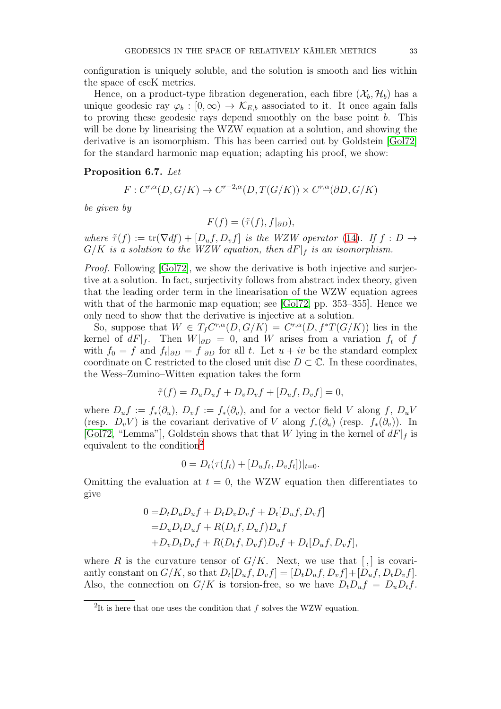configuration is uniquely soluble, and the solution is smooth and lies within the space of cscK metrics.

Hence, on a product-type fibration degeneration, each fibre  $(\mathcal{X}_b, \mathcal{H}_b)$  has a unique geodesic ray  $\varphi_b : [0, \infty) \to \mathcal{K}_{E,b}$  associated to it. It once again falls to proving these geodesic rays depend smoothly on the base point b. This will be done by linearising the WZW equation at a solution, and showing the derivative is an isomorphism. This has been carried out by Goldstein [\[Gol72\]](#page-38-22) for the standard harmonic map equation; adapting his proof, we show:

#### <span id="page-32-1"></span>Proposition 6.7. Let

$$
F: C^{r,\alpha}(D, G/K) \to C^{r-2,\alpha}(D, T(G/K)) \times C^{r,\alpha}(\partial D, G/K)
$$

be given by

$$
F(f) = (\tilde{\tau}(f), f|_{\partial D}),
$$

where  $\tilde{\tau}(f) := \text{tr}(\nabla df) + [D_u f, D_v f]$  is the WZW operator [\(14\)](#page-31-0). If  $f : D \to$  $G/K$  is a solution to the WZW equation, then  $dF|_f$  is an isomorphism.

*Proof.* Following [\[Gol72\]](#page-38-22), we show the derivative is both injective and surjective at a solution. In fact, surjectivity follows from abstract index theory, given that the leading order term in the linearisation of the WZW equation agrees with that of the harmonic map equation; see [\[Gol72,](#page-38-22) pp. 353–355]. Hence we only need to show that the derivative is injective at a solution.

So, suppose that  $W \in T_f C^{r,\alpha}(D, G/K) = C^{r,\alpha}(D, f^*T(G/K))$  lies in the kernel of  $dF|_f$ . Then  $W|_{\partial D} = 0$ , and W arises from a variation  $f_t$  of f with  $f_0 = f$  and  $f_t|_{\partial D} = f|_{\partial D}$  for all t. Let  $u + iv$  be the standard complex coordinate on  $\mathbb C$  restricted to the closed unit disc  $D \subset \mathbb C$ . In these coordinates, the Wess–Zumino–Witten equation takes the form

$$
\tilde{\tau}(f) = D_u D_u f + D_v D_v f + [D_u f, D_v f] = 0,
$$

where  $D_u f := f_*(\partial_u)$ ,  $D_v f := f_*(\partial_v)$ , and for a vector field V along f,  $D_u V$ (resp.  $D_v V$ ) is the covariant derivative of V along  $f_*(\partial_u)$  (resp.  $f_*(\partial_v)$ ). In [\[Gol72,](#page-38-22) "Lemma"], Goldstein shows that that W lying in the kernel of  $dF|_f$  is equivalent to the condition<sup>[2](#page-32-0)</sup>

$$
0 = D_t(\tau(f_t) + [D_u f_t, D_v f_t])|_{t=0}.
$$

Omitting the evaluation at  $t = 0$ , the WZW equation then differentiates to give

$$
0 = D_t D_u D_u f + D_t D_v D_v f + D_t [D_u f, D_v f]
$$
  
= 
$$
D_u D_t D_u f + R(D_t f, D_u f) D_u f
$$
  
+ 
$$
D_v D_t D_v f + R(D_t f, D_v f) D_v f + D_t [D_u f, D_v f],
$$

where R is the curvature tensor of  $G/K$ . Next, we use that  $\lceil \cdot \rceil$  is covariantly constant on  $G/K$ , so that  $D_t[D_u f, D_v f] = [D_t D_u f, D_v f] + [D_u f, D_t D_v f]$ . Also, the connection on  $G/K$  is torsion-free, so we have  $D_t D_u f = D_u D_t f$ .

<span id="page-32-0"></span><sup>&</sup>lt;sup>2</sup>It is here that one uses the condition that f solves the WZW equation.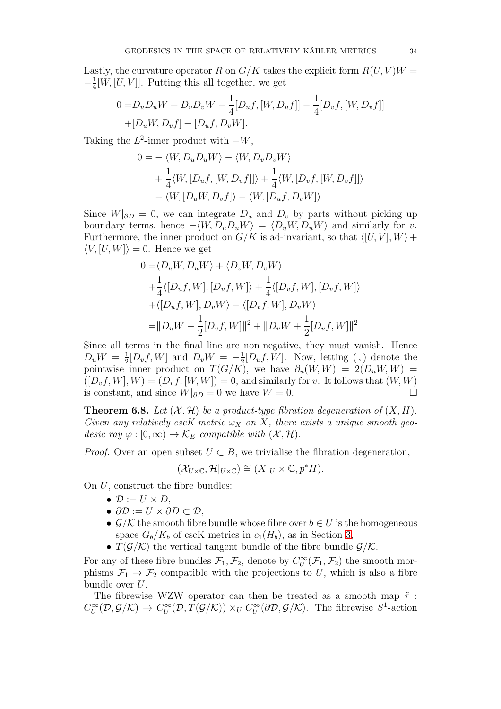Lastly, the curvature operator R on  $G/K$  takes the explicit form  $R(U, V)W =$  $-\frac{1}{4}$  $\frac{1}{4}[W, [U, V]]$ . Putting this all together, we get

$$
0 = D_u D_u W + D_v D_v W - \frac{1}{4} [D_u f, [W, D_u f]] - \frac{1}{4} [D_v f, [W, D_v f]]
$$
  
+[D\_u W, D\_v f] + [D\_u f, D\_v W].

Taking the  $L^2$ -inner product with  $-W$ ,

$$
0 = -\langle W, D_u D_u W \rangle - \langle W, D_v D_v W \rangle
$$
  
+  $\frac{1}{4} \langle W, [D_u f, [W, D_u f]] \rangle + \frac{1}{4} \langle W, [D_v f, [W, D_v f]] \rangle$   
-  $\langle W, [D_u W, D_v f] \rangle - \langle W, [D_u f, D_v W] \rangle.$ 

Since  $W|_{\partial D} = 0$ , we can integrate  $D_u$  and  $D_v$  by parts without picking up boundary terms, hence  $-\langle W, D_u D_u W \rangle = \langle D_u W, D_u W \rangle$  and similarly for v. Furthermore, the inner product on  $G/K$  is ad-invariant, so that  $\langle [U, V], W \rangle +$  $\langle V, [U, W] \rangle = 0$ . Hence we get

$$
0 = \langle D_u W, D_u W \rangle + \langle D_v W, D_v W \rangle
$$
  
+  $\frac{1}{4} \langle [D_u f, W], [D_u f, W] \rangle + \frac{1}{4} \langle [D_v f, W], [D_v f, W] \rangle$   
+  $\langle [D_u f, W], D_v W \rangle - \langle [D_v f, W], D_u W \rangle$   
=  $||D_u W - \frac{1}{2} [D_v f, W]||^2 + ||D_v W + \frac{1}{2} [D_u f, W]||^2$ 

Since all terms in the final line are non-negative, they must vanish. Hence  $D_uW = \frac{1}{2}$  $\frac{1}{2}[D_v f, W]$  and  $D_v W = -\frac{1}{2}$  $\frac{1}{2}[D_u f, W]$ . Now, letting  $\left( \begin{array}{c} 0 \end{array} \right)$  denote the pointwise inner product on  $T(G/K)$ , we have  $\partial_u(W, W) = 2(D_u W, W)$  $([D_v f, W], W) = (D_v f, [W, W]) = 0$ , and similarly for v. It follows that  $(W, W)$ is constant, and since  $W|_{\partial D} = 0$  we have  $W = 0$ . □

**Theorem 6.8.** Let  $(X, \mathcal{H})$  be a product-type fibration degeneration of  $(X, H)$ . Given any relatively cscK metric  $\omega_X$  on X, there exists a unique smooth geodesic ray  $\varphi : [0, \infty) \to \mathcal{K}_E$  compatible with  $(\mathcal{X}, \mathcal{H})$ .

*Proof.* Over an open subset  $U \subset B$ , we trivialise the fibration degeneration,

$$
(\mathcal{X}_{U\times\mathbb{C}},\mathcal{H}|_{U\times\mathbb{C}})\cong(X|_U\times\mathbb{C},p^*H).
$$

On  $U$ , construct the fibre bundles:

- $\bullet \mathcal{D} := U \times D$ ,
- $\partial \mathcal{D} := U \times \partial D \subset \mathcal{D}$ ,
- $\mathcal{G}/\mathcal{K}$  the smooth fibre bundle whose fibre over  $b \in U$  is the homogeneous space  $G_b/K_b$  of cscK metrics in  $c_1(H_b)$ , as in Section [3,](#page-14-0)
- $T(\mathcal{G}/\mathcal{K})$  the vertical tangent bundle of the fibre bundle  $\mathcal{G}/\mathcal{K}$ .

For any of these fibre bundles  $\mathcal{F}_1, \mathcal{F}_2$ , denote by  $C^{\infty}_U(\mathcal{F}_1, \mathcal{F}_2)$  the smooth morphisms  $\mathcal{F}_1 \to \mathcal{F}_2$  compatible with the projections to U, which is also a fibre bundle over U.

The fibrewise WZW operator can then be treated as a smooth map  $\tilde{\tau}$ :  $C^{\infty}_U(\mathcal{D}, \mathcal{G}/\mathcal{K}) \to C^{\infty}_U(\mathcal{D}, T(\mathcal{G}/\mathcal{K})) \times_U C^{\infty}_U(\partial \mathcal{D}, \mathcal{G}/\mathcal{K})$ . The fibrewise  $S^1$ -action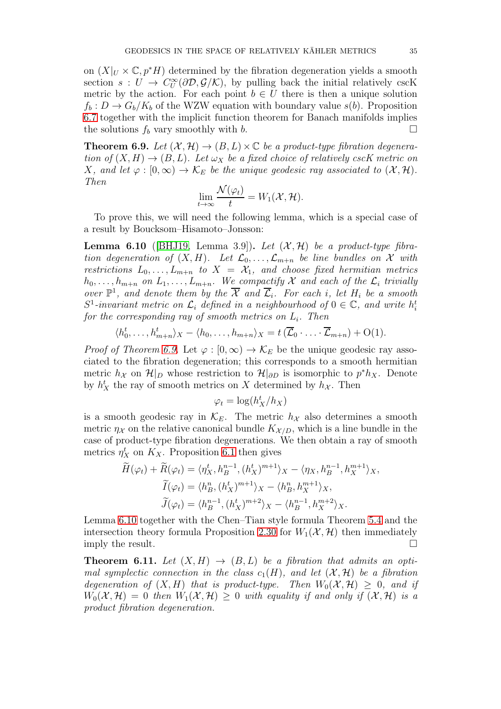on  $(X|_U \times \mathbb{C}, p^*H)$  determined by the fibration degeneration yields a smooth section  $s: U \to C^{\infty}_U(\partial \mathcal{D}, \mathcal{G}/\mathcal{K})$ , by pulling back the initial relatively cscK metric by the action. For each point  $b \in U$  there is then a unique solution  $f_b: D \to G_b/K_b$  of the WZW equation with boundary value  $s(b)$ . Proposition [6.7](#page-32-1) together with the implicit function theorem for Banach manifolds implies the solutions  $f_b$  vary smoothly with b.

<span id="page-34-0"></span>**Theorem 6.9.** Let  $(\mathcal{X}, \mathcal{H}) \to (B, L) \times \mathbb{C}$  be a product-type fibration degeneration of  $(X, H) \to (B, L)$ . Let  $\omega_X$  be a fixed choice of relatively cscK metric on X, and let  $\varphi : [0, \infty) \to \mathcal{K}_E$  be the unique geodesic ray associated to  $(\mathcal{X}, \mathcal{H})$ . Then

$$
\lim_{t\to\infty}\frac{\mathcal{N}(\varphi_t)}{t}=W_1(\mathcal{X},\mathcal{H}).
$$

To prove this, we will need the following lemma, which is a special case of a result by Boucksom–Hisamoto–Jonsson:

<span id="page-34-1"></span>**Lemma 6.10** ([\[BHJ19,](#page-37-8) Lemma 3.9]). Let  $(\mathcal{X}, \mathcal{H})$  be a product-type fibration degeneration of  $(X, H)$ . Let  $\mathcal{L}_0, \ldots, \mathcal{L}_{m+n}$  be line bundles on X with restrictions  $L_0, \ldots, L_{m+n}$  to  $X = X_1$ , and choose fixed hermitian metrics  $h_0, \ldots, h_{m+n}$  on  $L_1, \ldots, L_{m+n}$ . We compactify X and each of the  $\mathcal{L}_i$  trivially over  $\mathbb{P}^1$ , and denote them by the  $\overline{\mathcal{X}}$  and  $\overline{\mathcal{L}}_i$ . For each i, let  $H_i$  be a smooth  $S^1$ -invariant metric on  $\mathcal{L}_i$  defined in a neighbourhood of  $0 \in \mathbb{C}$ , and write  $h_i^t$ for the corresponding ray of smooth metrics on  $L_i$ . Then

$$
\langle h_0^t, \ldots, h_{m+n}^t \rangle_X - \langle h_0, \ldots, h_{m+n} \rangle_X = t \left( \overline{\mathcal{L}}_0 \cdot \ldots \cdot \overline{\mathcal{L}}_{m+n} \right) + \mathrm{O}(1).
$$

*Proof of Theorem [6.9.](#page-34-0)* Let  $\varphi : [0, \infty) \to \mathcal{K}_E$  be the unique geodesic ray associated to the fibration degeneration; this corresponds to a smooth hermitian metric  $h_X$  on  $\mathcal{H}|_D$  whose restriction to  $\mathcal{H}|_{\partial D}$  is isomorphic to  $p^*h_X$ . Denote by  $h_X^t$  the ray of smooth metrics on X determined by  $h_X$ . Then

$$
\varphi_t = \log(h_X^t/h_X)
$$

is a smooth geodesic ray in  $\mathcal{K}_E$ . The metric  $h_{\mathcal{X}}$  also determines a smooth metric  $\eta_{\mathcal{X}}$  on the relative canonical bundle  $K_{\mathcal{X}/D}$ , which is a line bundle in the case of product-type fibration degenerations. We then obtain a ray of smooth metrics  $\eta_X^t$  on  $K_X$ . Proposition [6.1](#page-29-0) then gives

$$
\widetilde{H}(\varphi_t) + \widetilde{R}(\varphi_t) = \langle \eta_X^t, h_B^{n-1}, (h_X^t)^{m+1} \rangle_X - \langle \eta_X, h_B^{n-1}, h_X^{m+1} \rangle_X,
$$
\n
$$
\widetilde{I}(\varphi_t) = \langle h_B^n, (h_X^t)^{m+1} \rangle_X - \langle h_B^n, h_X^{m+1} \rangle_X,
$$
\n
$$
\widetilde{J}(\varphi_t) = \langle h_B^{n-1}, (h_X^t)^{m+2} \rangle_X - \langle h_B^{n-1}, h_X^{m+2} \rangle_X.
$$

Lemma [6.10](#page-34-1) together with the Chen–Tian style formula Theorem [5.4](#page-27-1) and the intersection theory formula Proposition [2.30](#page-13-2) for  $W_1(\mathcal{X}, \mathcal{H})$  then immediately imply the result.

<span id="page-34-2"></span>**Theorem 6.11.** Let  $(X, H) \rightarrow (B, L)$  be a fibration that admits an optimal symplectic connection in the class  $c_1(H)$ , and let  $(\mathcal{X}, \mathcal{H})$  be a fibration degeneration of  $(X, H)$  that is product-type. Then  $W_0(\mathcal{X}, \mathcal{H}) \geq 0$ , and if  $W_0(\mathcal{X}, \mathcal{H}) = 0$  then  $W_1(\mathcal{X}, \mathcal{H}) \geq 0$  with equality if and only if  $(\mathcal{X}, \mathcal{H})$  is a product fibration degeneration.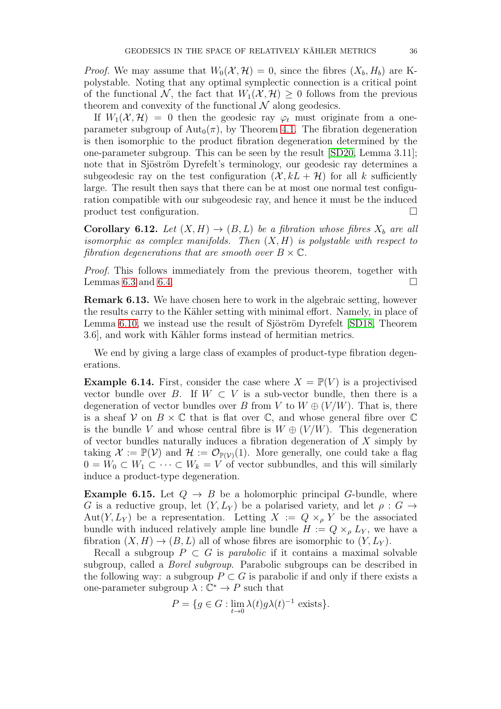*Proof.* We may assume that  $W_0(\mathcal{X}, \mathcal{H}) = 0$ , since the fibres  $(X_b, H_b)$  are Kpolystable. Noting that any optimal symplectic connection is a critical point of the functional N, the fact that  $W_1(\mathcal{X}, \mathcal{H}) \geq 0$  follows from the previous theorem and convexity of the functional  $N$  along geodesics.

If  $W_1(\mathcal{X}, \mathcal{H}) = 0$  then the geodesic ray  $\varphi_t$  must originate from a oneparameter subgroup of  $\text{Aut}_0(\pi)$ , by Theorem [4.1.](#page-20-2) The fibration degeneration is then isomorphic to the product fibration degeneration determined by the one-parameter subgroup. This can be seen by the result [\[SD20,](#page-38-19) Lemma 3.11]; note that in Sjöström Dyrefelt's terminology, our geodesic ray determines a subgeodesic ray on the test configuration  $(\mathcal{X}, kL + \mathcal{H})$  for all k sufficiently large. The result then says that there can be at most one normal test configuration compatible with our subgeodesic ray, and hence it must be the induced product test configuration.

**Corollary 6.12.** Let  $(X, H) \to (B, L)$  be a fibration whose fibres  $X_b$  are all isomorphic as complex manifolds. Then  $(X, H)$  is polystable with respect to fibration degenerations that are smooth over  $B \times \mathbb{C}$ .

Proof. This follows immediately from the previous theorem, together with Lemmas [6.3](#page-30-0) and [6.4.](#page-30-1)  $\Box$ 

<span id="page-35-1"></span>Remark 6.13. We have chosen here to work in the algebraic setting, however the results carry to the Kähler setting with minimal effort. Namely, in place of Lemma [6.10,](#page-34-1) we instead use the result of Sjöström Dyrefelt [\[SD18,](#page-38-8) Theorem 3.6, and work with Kähler forms instead of hermitian metrics.

We end by giving a large class of examples of product-type fibration degenerations.

<span id="page-35-2"></span>**Example 6.14.** First, consider the case where  $X = \mathbb{P}(V)$  is a projectivised vector bundle over B. If  $W \subset V$  is a sub-vector bundle, then there is a degeneration of vector bundles over B from V to  $W \oplus (V/W)$ . That is, there is a sheaf V on  $B \times \mathbb{C}$  that is flat over  $\mathbb{C}$ , and whose general fibre over  $\mathbb{C}$ is the bundle V and whose central fibre is  $W \oplus (V/W)$ . This degeneration of vector bundles naturally induces a fibration degeneration of  $X$  simply by taking  $\mathcal{X} := \mathbb{P}(\mathcal{V})$  and  $\mathcal{H} := \mathcal{O}_{\mathbb{P}(\mathcal{V})}(1)$ . More generally, one could take a flag  $0 = W_0 \subset W_1 \subset \cdots \subset W_k = V$  of vector subbundles, and this will similarly induce a product-type degeneration.

<span id="page-35-0"></span>**Example 6.15.** Let  $Q \rightarrow B$  be a holomorphic principal G-bundle, where G is a reductive group, let  $(Y, L_Y)$  be a polarised variety, and let  $\rho : G \to$ Aut $(Y, L_Y)$  be a representation. Letting  $X := Q \times_{\rho} Y$  be the associated bundle with induced relatively ample line bundle  $H := Q \times_{\rho} L_Y$ , we have a fibration  $(X, H) \to (B, L)$  all of whose fibres are isomorphic to  $(Y, L_Y)$ .

Recall a subgroup  $P \subset G$  is *parabolic* if it contains a maximal solvable subgroup, called a Borel subgroup. Parabolic subgroups can be described in the following way: a subgroup  $P \subset G$  is parabolic if and only if there exists a one-parameter subgroup  $\lambda : \mathbb{C}^* \to P$  such that

$$
P = \{ g \in G : \lim_{t \to 0} \lambda(t) g \lambda(t)^{-1} \text{ exists} \}.
$$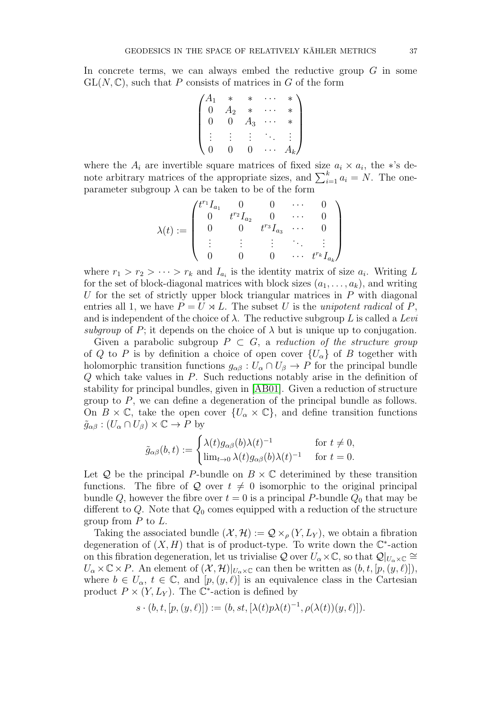In concrete terms, we can always embed the reductive group  $G$  in some  $GL(N,\mathbb{C})$ , such that P consists of matrices in G of the form

$$
\begin{pmatrix} A_1 & * & * & \cdots & * \\ 0 & A_2 & * & \cdots & * \\ 0 & 0 & A_3 & \cdots & * \\ \vdots & \vdots & \vdots & \ddots & \vdots \\ 0 & 0 & 0 & \cdots & A_k \end{pmatrix}
$$

where the  $A_i$  are invertible square matrices of fixed size  $a_i \times a_i$ , the \*'s denote arbitrary matrices of the appropriate sizes, and  $\sum_{i=1}^{k} a_i = N$ . The oneparameter subgroup  $\lambda$  can be taken to be of the form

$$
\lambda(t) := \begin{pmatrix} t^{r_1} I_{a_1} & 0 & 0 & \cdots & 0 \\ 0 & t^{r_2} I_{a_2} & 0 & \cdots & 0 \\ 0 & 0 & t^{r_3} I_{a_3} & \cdots & 0 \\ \vdots & \vdots & \vdots & \ddots & \vdots \\ 0 & 0 & 0 & \cdots & t^{r_k} I_{a_k} \end{pmatrix}
$$

where  $r_1 > r_2 > \cdots > r_k$  and  $I_{a_i}$  is the identity matrix of size  $a_i$ . Writing L for the set of block-diagonal matrices with block sizes  $(a_1, \ldots, a_k)$ , and writing U for the set of strictly upper block triangular matrices in  $P$  with diagonal entries all 1, we have  $P = U \rtimes L$ . The subset U is the unipotent radical of P, and is independent of the choice of  $\lambda$ . The reductive subgroup L is called a Levi subgroup of P; it depends on the choice of  $\lambda$  but is unique up to conjugation.

Given a parabolic subgroup  $P \subset G$ , a reduction of the structure group of Q to P is by definition a choice of open cover  $\{U_{\alpha}\}\$  of B together with holomorphic transition functions  $g_{\alpha\beta}: U_{\alpha}\cap U_{\beta}\to P$  for the principal bundle Q which take values in P. Such reductions notably arise in the definition of stability for principal bundles, given in [\[AB01\]](#page-37-16). Given a reduction of structure group to P, we can define a degeneration of the principal bundle as follows. On  $B \times \mathbb{C}$ , take the open cover  $\{U_{\alpha} \times \mathbb{C}\}\$ , and define transition functions  $\tilde{g}_{\alpha\beta}$  :  $(U_{\alpha} \cap U_{\beta}) \times \mathbb{C} \rightarrow P$  by

$$
\tilde{g}_{\alpha\beta}(b,t) := \begin{cases} \lambda(t)g_{\alpha\beta}(b)\lambda(t)^{-1} & \text{for } t \neq 0, \\ \lim_{t \to 0} \lambda(t)g_{\alpha\beta}(b)\lambda(t)^{-1} & \text{for } t = 0. \end{cases}
$$

Let  $Q$  be the principal P-bundle on  $B \times \mathbb{C}$  deterimined by these transition functions. The fibre of Q over  $t \neq 0$  isomorphic to the original principal bundle Q, however the fibre over  $t = 0$  is a principal P-bundle  $Q_0$  that may be different to Q. Note that  $Q_0$  comes equipped with a reduction of the structure group from  $P$  to  $L$ .

Taking the associated bundle  $(\mathcal{X}, \mathcal{H}) := \mathcal{Q} \times_{\rho} (Y, L_Y)$ , we obtain a fibration degeneration of  $(X, H)$  that is of product-type. To write down the  $\mathbb{C}^*$ -action on this fibration degeneration, let us trivialise Q over  $U_{\alpha}\times\mathbb{C}$ , so that  $\mathcal{Q}|_{U_{\alpha}\times\mathbb{C}}\cong$  $U_{\alpha} \times \mathbb{C} \times P$ . An element of  $(\mathcal{X}, \mathcal{H})|_{U_{\alpha} \times \mathbb{C}}$  can then be written as  $(b, t, [p, (y, \ell)]),$ where  $b \in U_{\alpha}$ ,  $t \in \mathbb{C}$ , and  $[p,(y,\ell)]$  is an equivalence class in the Cartesian product  $P \times (Y, L_Y)$ . The  $\mathbb{C}^*$ -action is defined by

$$
s\cdot (b,t,[p,(y,\ell)]):=(b,st,[\lambda(t)p\lambda(t)^{-1},\rho(\lambda(t))(y,\ell)]).
$$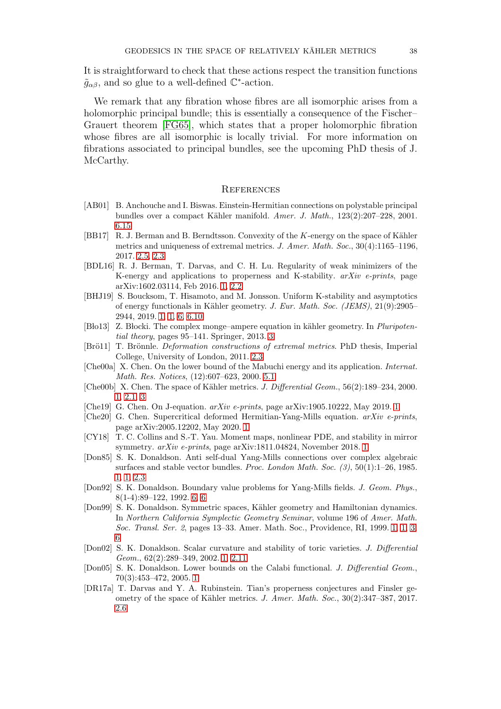It is straightforward to check that these actions respect the transition functions  $\tilde{g}_{\alpha\beta}$ , and so glue to a well-defined  $\mathbb{C}^*$ -action.

We remark that any fibration whose fibres are all isomorphic arises from a holomorphic principal bundle; this is essentially a consequence of the Fischer– Grauert theorem [\[FG65\]](#page-38-20), which states that a proper holomorphic fibration whose fibres are all isomorphic is locally trivial. For more information on fibrations associated to principal bundles, see the upcoming PhD thesis of J. McCarthy.

#### **REFERENCES**

- <span id="page-37-16"></span>[AB01] B. Anchouche and I. Biswas. Einstein-Hermitian connections on polystable principal bundles over a compact Kähler manifold. Amer. J. Math., 123(2):207-228, 2001. [6.15](#page-35-0)
- <span id="page-37-10"></span>[BB17] R. J. Berman and B. Berndtsson. Convexity of the K-energy on the space of Kähler metrics and uniqueness of extremal metrics. J. Amer. Math. Soc.,  $30(4)$ :1165–1196, 2017. [2.5,](#page-5-1) [2.3](#page-11-1)
- <span id="page-37-9"></span>[BDL16] R. J. Berman, T. Darvas, and C. H. Lu. Regularity of weak minimizers of the K-energy and applications to properness and K-stability.  $arXiv$  e-prints, page arXiv:1602.03114, Feb 2016. [1,](#page-2-1) [2.2](#page-6-1)
- <span id="page-37-8"></span>[BHJ19] S. Boucksom, T. Hisamoto, and M. Jonsson. Uniform K-stability and asymptotics of energy functionals in K¨ahler geometry. J. Eur. Math. Soc. (JEMS), 21(9):2905– 2944, 2019. [1,](#page-1-0) [1,](#page-2-1) [6,](#page-27-0) [6.10](#page-34-1)
- <span id="page-37-13"></span>[Blo13] Z. Blocki. The complex monge–ampere equation in kähler geometry. In Pluripotential theory, pages 95–141. Springer, 2013. [3](#page-18-0)
- <span id="page-37-12"></span>[Brö11] T. Brönnle. *Deformation constructions of extremal metrics*. PhD thesis, Imperial College, University of London, 2011. [2.3](#page-8-2)
- <span id="page-37-14"></span>[Che00a] X. Chen. On the lower bound of the Mabuchi energy and its application. Internat. Math. Res. Notices, (12):607–623, 2000. [5.1](#page-22-1)
- <span id="page-37-6"></span>[Che00b] X. Chen. The space of Kähler metrics. J. Differential Geom., 56(2):189–234, 2000. [1,](#page-1-1) [2.1,](#page-4-0) [3](#page-15-0)
- <span id="page-37-2"></span>[Che19] G. Chen. On J-equation. arXiv e-prints, page arXiv:1905.10222, May 2019. [1](#page-0-0)
- <span id="page-37-4"></span>[Che20] G. Chen. Supercritical deformed Hermitian-Yang-Mills equation.  $arXiv$  e-prints, page arXiv:2005.12202, May 2020. [1](#page-0-0)
- <span id="page-37-3"></span>[CY18] T. C. Collins and S.-T. Yau. Moment maps, nonlinear PDE, and stability in mirror symmetry. arXiv e-prints, page arXiv:1811.04824, November 2018. [1](#page-0-0)
- <span id="page-37-0"></span>[Don85] S. K. Donaldson. Anti self-dual Yang-Mills connections over complex algebraic surfaces and stable vector bundles. Proc. London Math. Soc. (3), 50(1):1–26, 1985. [1,](#page-0-0) [1,](#page-1-1) [2.3](#page-11-1)
- <span id="page-37-15"></span>[Don92] S. K. Donaldson. Boundary value problems for Yang-Mills fields. J. Geom. Phys., 8(1-4):89–122, 1992. [6,](#page-31-1) [6](#page-31-0)
- <span id="page-37-7"></span>[Don99] S. K. Donaldson. Symmetric spaces, Kähler geometry and Hamiltonian dynamics. In Northern California Symplectic Geometry Seminar, volume 196 of Amer. Math. Soc. Transl. Ser. 2, pages 13–33. Amer. Math. Soc., Providence, RI, 1999. [1,](#page-1-1) [1,](#page-1-0) [3,](#page-18-0) [6](#page-31-0)
- <span id="page-37-1"></span>[Don02] S. K. Donaldson. Scalar curvature and stability of toric varieties. J. Differential Geom., 62(2):289–349, 2002. [1,](#page-0-0) [2.11](#page-7-0)
- <span id="page-37-5"></span>[Don05] S. K. Donaldson. Lower bounds on the Calabi functional. J. Differential Geom., 70(3):453–472, 2005. [1](#page-0-0)
- <span id="page-37-11"></span>[DR17a] T. Darvas and Y. A. Rubinstein. Tian's properness conjectures and Finsler geometry of the space of Kähler metrics. J. Amer. Math. Soc., 30(2):347–387, 2017. [2.6](#page-5-2)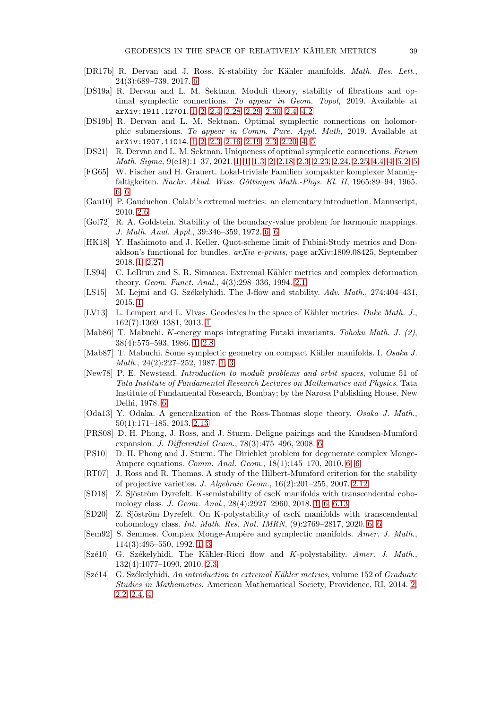- <span id="page-38-18"></span>[DR17b] R. Dervan and J. Ross. K-stability for Kähler manifolds. Math. Res. Lett., 24(3):689–739, 2017. [6](#page-27-0)
- <span id="page-38-2"></span>[DS19a] R. Dervan and L. M. Sektnan. Moduli theory, stability of fibrations and optimal symplectic connections. To appear in Geom. Topol, 2019. Available at arXiv:1911.12701. [1,](#page-0-0) [2,](#page-3-0) [2.4,](#page-11-0) [2.28,](#page-12-1) [2.29,](#page-13-1) [2.30, 2.4,](#page-13-2) [4.2](#page-20-3)
- <span id="page-38-1"></span>[DS19b] R. Dervan and L. M. Sektnan. Optimal symplectic connections on holomorphic submersions. To appear in Comm. Pure. Appl. Math, 2019. Available at arXiv:1907.11014. [1,](#page-0-0) [2,](#page-3-0) [2.3,](#page-8-2) [2.16,](#page-8-1) [2.19, 2.3,](#page-9-0) [2.20,](#page-10-1) [4,](#page-20-1) [5](#page-24-0)
- <span id="page-38-3"></span>[DS21] R. Dervan and L. M. Sektnan. Uniqueness of optimal symplectic connections. Forum Math. Sigma, 9(e18):1–37, 2021. [1,](#page-0-0) [1,](#page-1-1) [1.3,](#page-1-0) [2,](#page-3-0) [2.18,](#page-9-1) [2.3,](#page-10-2) [2.23,](#page-11-1) [2.24,](#page-11-3) [2.25,](#page-11-2) [4.4, 4,](#page-21-0) [5.2, 5](#page-23-0)
- <span id="page-38-20"></span>[FG65] W. Fischer and H. Grauert. Lokal-triviale Familien kompakter komplexer Mannigfaltigkeiten. Nachr. Akad. Wiss. Göttingen Math.-Phys. Kl. II, 1965:89–94, 1965. 6
- <span id="page-38-12"></span>[Gau10] P. Gauduchon. Calabi's extremal metrics: an elementary introduction. Manuscript, 2010. [2.6](#page-5-2)
- <span id="page-38-22"></span>[Gol72] R. A. Goldstein. Stability of the boundary-value problem for harmonic mappings. J. Math. Anal. Appl., 39:346–359, 1972. [6,](#page-31-0) [6](#page-32-1)
- <span id="page-38-9"></span>[HK18] Y. Hashimoto and J. Keller. Quot-scheme limit of Fubini-Study metrics and Donaldson's functional for bundles.  $arXiv$  e-prints, page arXiv:1809.08425, September 2018. [1,](#page-2-1) [2.27](#page-12-2)
- <span id="page-38-11"></span>[LS94] C. LeBrun and S. R. Simanca. Extremal Kähler metrics and complex deformation theory. Geom. Funct. Anal., 4(3):298–336, 1994. [2.1](#page-4-1)
- <span id="page-38-0"></span>[LS15] M. Lejmi and G. Székelyhidi. The J-flow and stability. Adv. Math., 274:404-431, 2015. [1](#page-0-0)
- <span id="page-38-4"></span>[LV13] L. Lempert and L. Vivas. Geodesics in the space of Kähler metrics. Duke Math. J., 162(7):1369–1381, 2013. [1](#page-1-1)
- <span id="page-38-7"></span>[Mab86] T. Mabuchi. K-energy maps integrating Futaki invariants. Tohoku Math. J. (2), 38(4):575–593, 1986. [1,](#page-1-1) [2.8](#page-6-2)
- <span id="page-38-5"></span>[Mab87] T. Mabuchi. Some symplectic geometry on compact Kähler manifolds. I. Osaka J. Math., 24(2):227–252, 1987. [1,](#page-1-1) [3](#page-18-0)
- <span id="page-38-21"></span>[New78] P. E. Newstead. Introduction to moduli problems and orbit spaces, volume 51 of Tata Institute of Fundamental Research Lectures on Mathematics and Physics. Tata Institute of Fundamental Research, Bombay; by the Narosa Publishing House, New Delhi, 1978. [6](#page-30-0)
- <span id="page-38-14"></span>[Oda13] Y. Odaka. A generalization of the Ross-Thomas slope theory. *Osaka J. Math.*, 50(1):171–185, 2013. [2.13](#page-7-1)
- <span id="page-38-17"></span>[PRS08] D. H. Phong, J. Ross, and J. Sturm. Deligne pairings and the Knudsen-Mumford expansion. J. Differential Geom., 78(3):475–496, 2008. [6](#page-27-0)
- <span id="page-38-16"></span>[PS10] D. H. Phong and J. Sturm. The Dirichlet problem for degenerate complex Monge-Ampere equations. Comm. Anal. Geom., 18(1):145–170, 2010. [6,](#page-27-0) [6](#page-31-2)
- <span id="page-38-13"></span>[RT07] J. Ross and R. Thomas. A study of the Hilbert-Mumford criterion for the stability of projective varieties. J. Algebraic Geom., 16(2):201–255, 2007. [2.12](#page-7-2)
- <span id="page-38-8"></span>[SD18] Z. Sjöström Dyrefelt. K-semistability of cscK manifolds with transcendental cohomology class. J. Geom. Anal., 28(4):2927–2960, 2018. [1,](#page-1-0) [6,](#page-27-0) [6.13](#page-35-1)
- <span id="page-38-19"></span>[SD20] Z. Sjöström Dyrefelt. On K-polystability of cscK manifolds with transcendental cohomology class. Int. Math. Res. Not. IMRN, (9):2769–2817, 2020. [6,](#page-27-0) [6](#page-34-2)
- <span id="page-38-6"></span>[Sem92] S. Semmes. Complex Monge-Ampère and symplectic manifolds. Amer. J. Math., 114(3):495–550, 1992. [1,](#page-1-1) [3](#page-18-0)
- <span id="page-38-15"></span>[Szé10] G. Székelyhidi. The Kähler-Ricci flow and K-polystability. Amer. J. Math., 132(4):1077–1090, 2010. [2.3](#page-8-2)
- <span id="page-38-10"></span>[Szé14] G. Székelyhidi. An introduction to extremal Kähler metrics, volume 152 of Graduate Studies in Mathematics. American Mathematical Society, Providence, RI, 2014. [2,](#page-3-0) [2.2,](#page-4-0) [2.4,](#page-5-0) [4](#page-20-1)